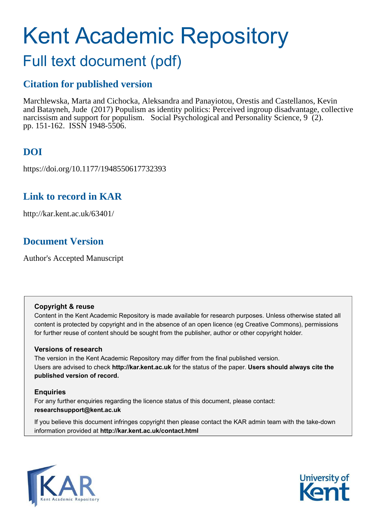# Kent Academic Repository

# Full text document (pdf)

## **Citation for published version**

Marchlewska, Marta and Cichocka, Aleksandra and Panayiotou, Orestis and Castellanos, Kevin and Batayneh, Jude (2017) Populism as identity politics: Perceived ingroup disadvantage, collective narcissism and support for populism. Social Psychological and Personality Science, 9 (2). pp. 151-162. ISSN 1948-5506.

## **DOI**

https://doi.org/10.1177/1948550617732393

## **Link to record in KAR**

http://kar.kent.ac.uk/63401/

## **Document Version**

Author's Accepted Manuscript

#### **Copyright & reuse**

Content in the Kent Academic Repository is made available for research purposes. Unless otherwise stated all content is protected by copyright and in the absence of an open licence (eg Creative Commons), permissions for further reuse of content should be sought from the publisher, author or other copyright holder.

#### **Versions of research**

The version in the Kent Academic Repository may differ from the final published version. Users are advised to check **http://kar.kent.ac.uk** for the status of the paper. **Users should always cite the published version of record.**

#### **Enquiries**

For any further enquiries regarding the licence status of this document, please contact: **researchsupport@kent.ac.uk**

If you believe this document infringes copyright then please contact the KAR admin team with the take-down information provided at **http://kar.kent.ac.uk/contact.html**



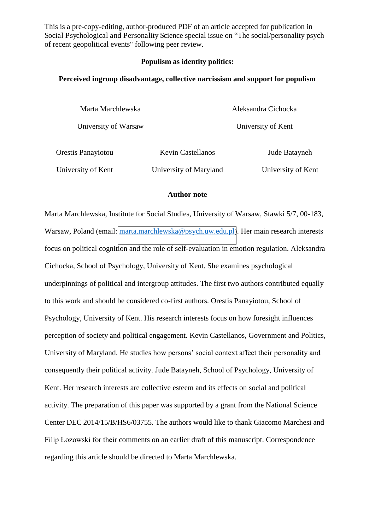This is a pre-copy-editing, author-produced PDF of an article accepted for publication in Social Psychological and Personality Science special issue on "The social/personality psych of recent geopolitical events" following peer review.

#### **Populism as identity politics:**

#### **Perceived ingroup disadvantage, collective narcissism and support for populism**

| Marta Marchlewska    |                          | Aleksandra Cichocka |  |  |  |  |
|----------------------|--------------------------|---------------------|--|--|--|--|
| University of Warsaw |                          | University of Kent  |  |  |  |  |
| Orestis Panayiotou   | <b>Kevin Castellanos</b> | Jude Batayneh       |  |  |  |  |
| University of Kent   | University of Maryland   | University of Kent  |  |  |  |  |

#### **Author note**

Marta Marchlewska, Institute for Social Studies, University of Warsaw, Stawki 5/7, 00-183, Warsaw, Poland (email: [marta.marchlewska@psych.uw.edu.pl\)](mailto:marta.marchlewska@psych.uw.edu.pl). Her main research interests focus on political cognition and the role of self-evaluation in emotion regulation. Aleksandra Cichocka, School of Psychology, University of Kent. She examines psychological underpinnings of political and intergroup attitudes. The first two authors contributed equally to this work and should be considered co-first authors. Orestis Panayiotou, School of Psychology, University of Kent. His research interests focus on how foresight influences perception of society and political engagement. Kevin Castellanos, Government and Politics, University of Maryland. He studies how persons' social context affect their personality and consequently their political activity. Jude Batayneh, School of Psychology, University of Kent. Her research interests are collective esteem and its effects on social and political activity. The preparation of this paper was supported by a grant from the National Science Center DEC 2014/15/B/HS6/03755. The authors would like to thank Giacomo Marchesi and Filip Łozowski for their comments on an earlier draft of this manuscript. Correspondence regarding this article should be directed to Marta Marchlewska.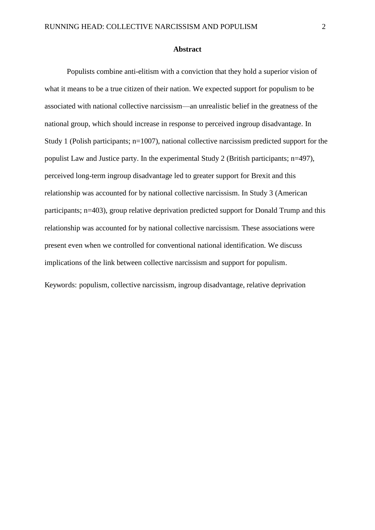Populists combine anti-elitism with a conviction that they hold a superior vision of what it means to be a true citizen of their nation. We expected support for populism to be associated with national collective narcissism—an unrealistic belief in the greatness of the national group, which should increase in response to perceived ingroup disadvantage. In Study 1 (Polish participants; n=1007), national collective narcissism predicted support for the populist Law and Justice party. In the experimental Study 2 (British participants; n=497), perceived long-term ingroup disadvantage led to greater support for Brexit and this relationship was accounted for by national collective narcissism. In Study 3 (American participants; n=403), group relative deprivation predicted support for Donald Trump and this relationship was accounted for by national collective narcissism. These associations were present even when we controlled for conventional national identification. We discuss implications of the link between collective narcissism and support for populism.

Keywords: populism, collective narcissism, ingroup disadvantage, relative deprivation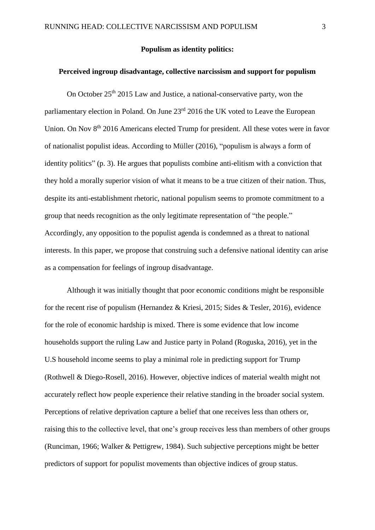#### **Populism as identity politics:**

#### **Perceived ingroup disadvantage, collective narcissism and support for populism**

On October 25th 2015 Law and Justice, a national-conservative party, won the parliamentary election in Poland. On June 23<sup>rd</sup> 2016 the UK voted to Leave the European Union. On Nov 8<sup>th</sup> 2016 Americans elected Trump for president. All these votes were in favor of nationalist populist ideas. According to Müller (2016), "populism is always a form of identity politics" (p. 3). He argues that populists combine anti-elitism with a conviction that they hold a morally superior vision of what it means to be a true citizen of their nation. Thus, despite its anti-establishment rhetoric, national populism seems to promote commitment to a group that needs recognition as the only legitimate representation of "the people." Accordingly, any opposition to the populist agenda is condemned as a threat to national interests. In this paper, we propose that construing such a defensive national identity can arise as a compensation for feelings of ingroup disadvantage.

 Although it was initially thought that poor economic conditions might be responsible for the recent rise of populism (Hernandez & Kriesi, 2015; Sides & Tesler, 2016), evidence for the role of economic hardship is mixed. There is some evidence that low income households support the ruling Law and Justice party in Poland (Roguska, 2016), yet in the U.S household income seems to play a minimal role in predicting support for Trump (Rothwell & Diego-Rosell, 2016). However, objective indices of material wealth might not accurately reflect how people experience their relative standing in the broader social system. Perceptions of relative deprivation capture a belief that one receives less than others or, raising this to the collective level, that one's group receives less than members of other groups (Runciman, 1966; Walker & Pettigrew, 1984). Such subjective perceptions might be better predictors of support for populist movements than objective indices of group status.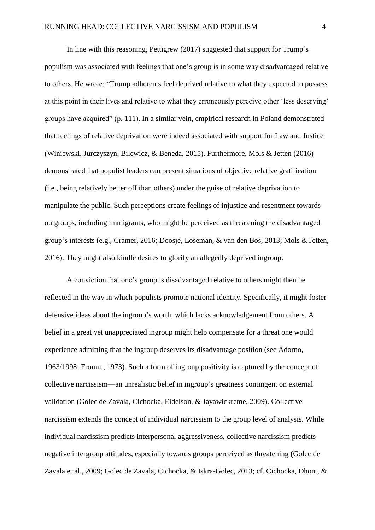In line with this reasoning, Pettigrew (2017) suggested that support for Trump's populism was associated with feelings that one's group is in some way disadvantaged relative to others. He wrote: "Trump adherents feel deprived relative to what they expected to possess at this point in their lives and relative to what they erroneously perceive other 'less deserving' groups have acquired" (p. 111). In a similar vein, empirical research in Poland demonstrated that feelings of relative deprivation were indeed associated with support for Law and Justice (Winiewski, Jurczyszyn, Bilewicz, & Beneda, 2015). Furthermore, Mols & Jetten (2016) demonstrated that populist leaders can present situations of objective relative gratification (i.e., being relatively better off than others) under the guise of relative deprivation to manipulate the public. Such perceptions create feelings of injustice and resentment towards outgroups, including immigrants, who might be perceived as threatening the disadvantaged group's interests (e.g., Cramer, 2016; Doosje, Loseman, & van den Bos, 2013; Mols & Jetten, 2016). They might also kindle desires to glorify an allegedly deprived ingroup.

A conviction that one's group is disadvantaged relative to others might then be reflected in the way in which populists promote national identity. Specifically, it might foster defensive ideas about the ingroup's worth, which lacks acknowledgement from others. A belief in a great yet unappreciated ingroup might help compensate for a threat one would experience admitting that the ingroup deserves its disadvantage position (see Adorno, 1963/1998; Fromm, 1973). Such a form of ingroup positivity is captured by the concept of collective narcissism—an unrealistic belief in ingroup's greatness contingent on external validation (Golec de Zavala, Cichocka, Eidelson, & Jayawickreme, 2009). Collective narcissism extends the concept of individual narcissism to the group level of analysis. While individual narcissism predicts interpersonal aggressiveness, collective narcissism predicts negative intergroup attitudes, especially towards groups perceived as threatening (Golec de Zavala et al., 2009; Golec de Zavala, Cichocka, & Iskra-Golec, 2013; cf. Cichocka, Dhont, &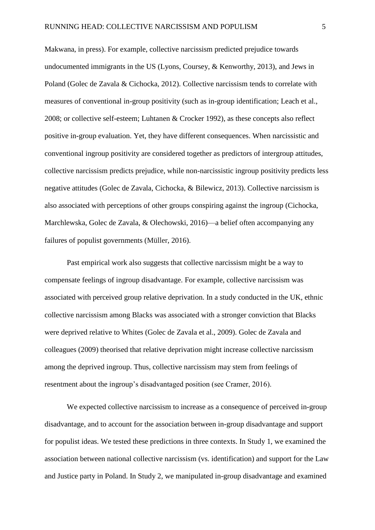Makwana, in press). For example, collective narcissism predicted prejudice towards undocumented immigrants in the US (Lyons, Coursey, & Kenworthy, 2013), and Jews in Poland (Golec de Zavala & Cichocka, 2012). Collective narcissism tends to correlate with measures of conventional in-group positivity (such as in-group identification; Leach et al., 2008; or collective self-esteem; Luhtanen & Crocker 1992), as these concepts also reflect positive in-group evaluation. Yet, they have different consequences. When narcissistic and conventional ingroup positivity are considered together as predictors of intergroup attitudes, collective narcissism predicts prejudice, while non-narcissistic ingroup positivity predicts less negative attitudes (Golec de Zavala, Cichocka, & Bilewicz, 2013). Collective narcissism is also associated with perceptions of other groups conspiring against the ingroup (Cichocka, Marchlewska, Golec de Zavala, & Olechowski, 2016)—a belief often accompanying any failures of populist governments (Müller, 2016).

Past empirical work also suggests that collective narcissism might be a way to compensate feelings of ingroup disadvantage. For example, collective narcissism was associated with perceived group relative deprivation. In a study conducted in the UK, ethnic collective narcissism among Blacks was associated with a stronger conviction that Blacks were deprived relative to Whites (Golec de Zavala et al., 2009). Golec de Zavala and colleagues (2009) theorised that relative deprivation might increase collective narcissism among the deprived ingroup. Thus, collective narcissism may stem from feelings of resentment about the ingroup's disadvantaged position (see Cramer, 2016).

We expected collective narcissism to increase as a consequence of perceived in-group disadvantage, and to account for the association between in-group disadvantage and support for populist ideas. We tested these predictions in three contexts. In Study 1, we examined the association between national collective narcissism (vs. identification) and support for the Law and Justice party in Poland. In Study 2, we manipulated in-group disadvantage and examined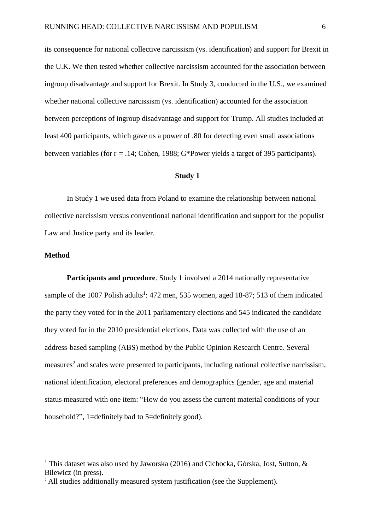its consequence for national collective narcissism (vs. identification) and support for Brexit in the U.K. We then tested whether collective narcissism accounted for the association between ingroup disadvantage and support for Brexit. In Study 3, conducted in the U.S., we examined whether national collective narcissism (vs. identification) accounted for the association between perceptions of ingroup disadvantage and support for Trump. All studies included at least 400 participants, which gave us a power of .80 for detecting even small associations between variables (for r = .14; Cohen, 1988; G\*Power yields a target of 395 participants).

#### **Study 1**

In Study 1 we used data from Poland to examine the relationship between national collective narcissism versus conventional national identification and support for the populist Law and Justice party and its leader.

#### **Method**

 $\overline{a}$ 

**Participants and procedure**. Study 1 involved a 2014 nationally representative sample of the 1007 Polish adults<sup>1</sup>: 472 men, 535 women, aged 18-87; 513 of them indicated the party they voted for in the 2011 parliamentary elections and 545 indicated the candidate they voted for in the 2010 presidential elections. Data was collected with the use of an address-based sampling (ABS) method by the Public Opinion Research Centre. Several measures<sup>2</sup> and scales were presented to participants, including national collective narcissism, national identification, electoral preferences and demographics (gender, age and material status measured with one item: "How do you assess the current material conditions of your household?", 1=definitely bad to 5=definitely good).

<sup>&</sup>lt;sup>1</sup> This dataset was also used by Jaworska (2016) and Cichocka, Górska, Jost, Sutton, & Bilewicz (in press).

<sup>&</sup>lt;sup>2</sup> All studies additionally measured system justification (see the Supplement).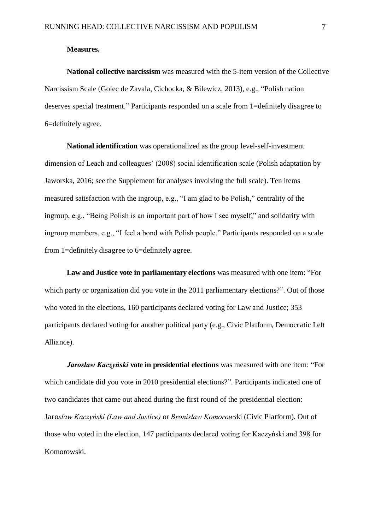#### **Measures.**

**National collective narcissism** was measured with the 5-item version of the Collective Narcissism Scale (Golec de Zavala, Cichocka, & Bilewicz, 2013), e.g., "Polish nation deserves special treatment." Participants responded on a scale from 1=definitely disagree to 6=definitely agree.

**National identification** was operationalized as the group level-self-investment dimension of Leach and colleagues' (2008) social identification scale (Polish adaptation by Jaworska, 2016; see the Supplement for analyses involving the full scale). Ten items measured satisfaction with the ingroup, e.g., "I am glad to be Polish," centrality of the ingroup, e.g., "Being Polish is an important part of how I see myself," and solidarity with ingroup members, e.g., "I feel a bond with Polish people." Participants responded on a scale from 1=definitely disagree to 6=definitely agree.

**Law and Justice vote in parliamentary elections** was measured with one item: "For which party or organization did you vote in the 2011 parliamentary elections?". Out of those who voted in the elections, 160 participants declared voting for Law and Justice; 353 participants declared voting for another political party (e.g., Civic Platform, Democratic Left Alliance).

*Jarosław Kaczyński* vote in presidential elections was measured with one item: "For which candidate did you vote in 2010 presidential elections?". Participants indicated one of two candidates that came out ahead during the first round of the presidential election: Jarosław Kaczyński (Law and Justice) or *Bronisław Komorowski* (Civic Platform). Out of those who voted in the election, 147 participants declared voting for Kaczyński and 398 for Komorowski.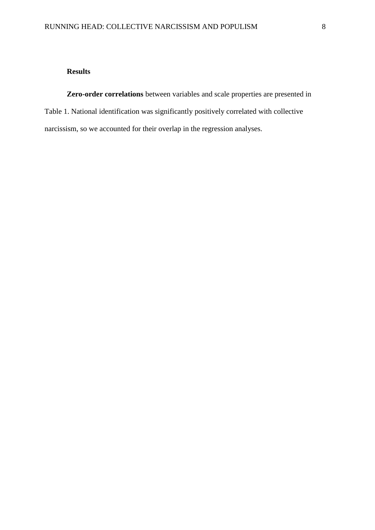#### **Results**

**Zero-order correlations** between variables and scale properties are presented in Table 1. National identification was significantly positively correlated with collective narcissism, so we accounted for their overlap in the regression analyses.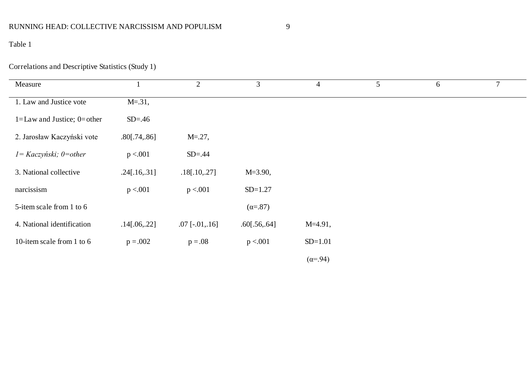## RUNNING HEAD: COLLECTIVE NARCISSISM AND POPULISM 9

## Table 1

## Correlations and Descriptive Statistics (Study 1)

| Measure                        |                 | $\overline{2}$        | 3                | $\overline{4}$   | 5 | 6 | $\overline{7}$ |
|--------------------------------|-----------------|-----------------------|------------------|------------------|---|---|----------------|
| 1. Law and Justice vote        | $M = .31,$      |                       |                  |                  |   |   |                |
| $1 = Law$ and Justice; 0=other | $SD=.46$        |                       |                  |                  |   |   |                |
| 2. Jarosław Kaczyński vote     | $.80$ [.74,.86] | $M = 27$ ,            |                  |                  |   |   |                |
| $I = Kaczyński; 0=other$       | p < 0.001       | $SD = .44$            |                  |                  |   |   |                |
| 3. National collective         | .24[.16, .31]   | .18[.10, .27]         | $M = 3.90,$      |                  |   |   |                |
| narcissism                     | p < 0.01        | p < 0.001             | $SD=1.27$        |                  |   |   |                |
| 5-item scale from 1 to 6       |                 |                       | $(\alpha = .87)$ |                  |   |   |                |
| 4. National identification     | .14[.06, .22]   | $.07$ [ $-.01, .16$ ] | .60[.56, .64]    | $M=4.91$ ,       |   |   |                |
| 10-item scale from 1 to 6      | $p = .002$      | $p = .08$             | p < 0.01         | $SD=1.01$        |   |   |                |
|                                |                 |                       |                  | $(\alpha = .94)$ |   |   |                |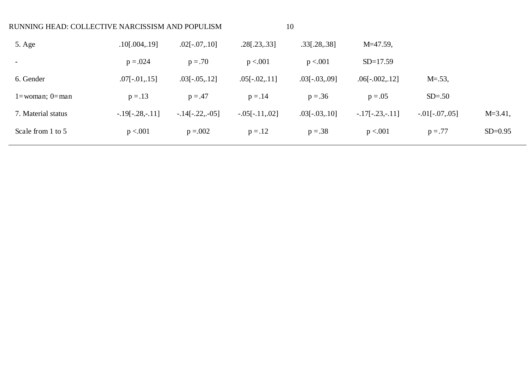| RUNNING HEAD: COLLECTIVE NARCISSISM AND POPULISM |                   |                  |                        | 10                    |                   |                 |              |
|--------------------------------------------------|-------------------|------------------|------------------------|-----------------------|-------------------|-----------------|--------------|
| 5. Age                                           | $.10$ [.004,.19]  | $.02[-.07, 10]$  | $.28$ [ $.23$ $,.33$ ] | $.33$ [ $.28$ $.38$ ] | $M=47.59$ ,       |                 |              |
|                                                  | $p = 0.024$       | $p = .70$        | p < 0.01               | p < 0.001             | $SD=17.59$        |                 |              |
| 6. Gender                                        | $.07[-.01, 15]$   | $.03[-.05, .12]$ | $.05[-.02, 11]$        | $.03[-.03, .09]$      | $.06[-.002, 12]$  | $M = .53$ ,     |              |
| $1 =$ woman; $0 =$ man                           | $p = .13$         | $p = .47$        | $p = .14$              | $p = .36$             | $p = .05$         | $SD=.50$        |              |
| 7. Material status                               | $-.19[-.28,-.11]$ | $-14[-.22,-05]$  | $-.05[-.11, .02]$      | $.03[-.03, .10]$      | $-.17[-.23,-.11]$ | $-.01[-.07,05]$ | $M = 3.41$ , |
| Scale from 1 to 5                                | p < 0.001         | $p = 0.002$      | $p = .12$              | $p = .38$             | p < 0.001         | $p = .77$       | $SD=0.95$    |
|                                                  |                   |                  |                        |                       |                   |                 |              |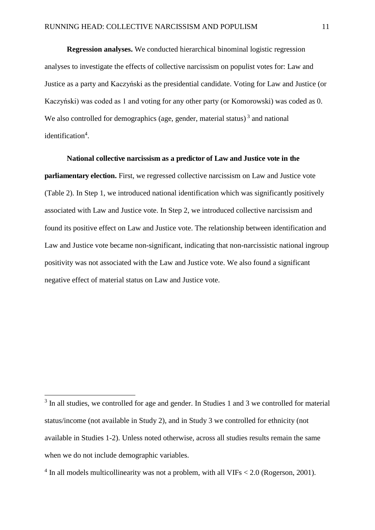**Regression analyses.** We conducted hierarchical binominal logistic regression analyses to investigate the effects of collective narcissism on populist votes for: Law and Justice as a party and Kaczyński as the presidential candidate. Voting for Law and Justice (or Kaczyński) was coded as 1 and voting for any other party (or Komorowski) was coded as 0. We also controlled for demographics (age, gender, material status)<sup>3</sup> and national identification<sup>4</sup>.

#### **National collective narcissism as a predictor of Law and Justice vote in the**

**parliamentary election.** First, we regressed collective narcissism on Law and Justice vote (Table 2). In Step 1, we introduced national identification which was significantly positively associated with Law and Justice vote. In Step 2, we introduced collective narcissism and found its positive effect on Law and Justice vote. The relationship between identification and Law and Justice vote became non-significant, indicating that non-narcissistic national ingroup positivity was not associated with the Law and Justice vote. We also found a significant negative effect of material status on Law and Justice vote.

 $\overline{a}$ 

<sup>&</sup>lt;sup>3</sup> In all studies, we controlled for age and gender. In Studies 1 and 3 we controlled for material status/income (not available in Study 2), and in Study 3 we controlled for ethnicity (not available in Studies 1-2). Unless noted otherwise, across all studies results remain the same when we do not include demographic variables.

 $4$  In all models multicollinearity was not a problem, with all VIFs  $< 2.0$  (Rogerson, 2001).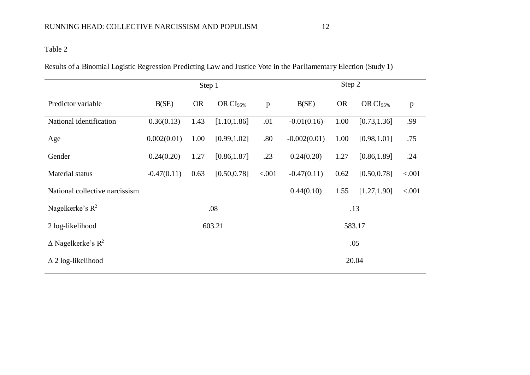Results of a Binomial Logistic Regression Predicting Law and Justice Vote in the Parliamentary Election (Study 1)

|                                         |               | Step 1    |                      |        | Step 2         |           |                      |              |
|-----------------------------------------|---------------|-----------|----------------------|--------|----------------|-----------|----------------------|--------------|
| Predictor variable                      | B(SE)         | <b>OR</b> | OR CI <sub>95%</sub> | p      | B(SE)          | <b>OR</b> | OR CI <sub>95%</sub> | $\mathbf{p}$ |
| National identification                 | 0.36(0.13)    | 1.43      | [1.10, 1.86]         | .01    | $-0.01(0.16)$  | 1.00      | [0.73, 1.36]         | .99          |
| Age                                     | 0.002(0.01)   | 1.00      | [0.99, 1.02]         | .80    | $-0.002(0.01)$ | 1.00      | [0.98, 1.01]         | .75          |
| Gender                                  | 0.24(0.20)    | 1.27      | [0.86, 1.87]         | .23    | 0.24(0.20)     | 1.27      | [0.86, 1.89]         | .24          |
| Material status                         | $-0.47(0.11)$ | 0.63      | [0.50, 0.78]         | < .001 | $-0.47(0.11)$  | 0.62      | [0.50, 0.78]         | < .001       |
| National collective narcissism          |               |           |                      |        | 0.44(0.10)     | 1.55      | [1.27, 1.90]         | < .001       |
| Nagelkerke's $R^2$                      |               |           | .08                  |        | .13            |           |                      |              |
| 2 log-likelihood                        |               |           | 603.21               |        |                |           | 583.17               |              |
| $\triangle$ Nagelkerke's R <sup>2</sup> | .05           |           |                      |        |                |           |                      |              |
| $\Delta$ 2 log-likelihood               |               |           |                      |        |                |           | 20.04                |              |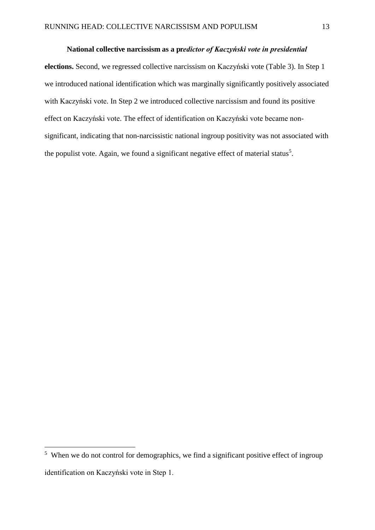#### National collective narcissism as a predictor of Kaczyński vote in presidential

**elections.** Second, we regressed collective narcissism on Kaczyński vote (Table 3). In Step 1 we introduced national identification which was marginally significantly positively associated with Kaczyński vote. In Step 2 we introduced collective narcissism and found its positive effect on Kaczyński vote. The effect of identification on Kaczyński vote became nonsignificant, indicating that non-narcissistic national ingroup positivity was not associated with the populist vote. Again, we found a significant negative effect of material status<sup>5</sup>.

 $\overline{a}$ 

<sup>&</sup>lt;sup>5</sup> When we do not control for demographics, we find a significant positive effect of ingroup identification on Kaczyński vote in Step 1.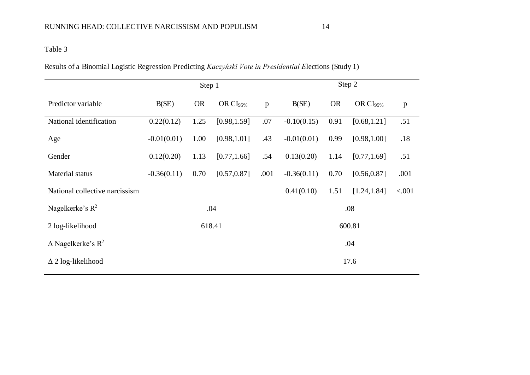Results of a Binomial Logistic Regression Predicting *Kaczyński Vote in Presidential Elections* (Study 1)

|                                         |               | Step 1    |                      |              | Step 2        |           |                      |              |  |  |
|-----------------------------------------|---------------|-----------|----------------------|--------------|---------------|-----------|----------------------|--------------|--|--|
| Predictor variable                      | B(SE)         | <b>OR</b> | OR CI <sub>95%</sub> | $\mathbf{p}$ | B(SE)         | <b>OR</b> | OR CI <sub>95%</sub> | $\mathbf{p}$ |  |  |
| National identification                 | 0.22(0.12)    | 1.25      | [0.98, 1.59]         | .07          | $-0.10(0.15)$ | 0.91      | [0.68, 1.21]         | .51          |  |  |
| Age                                     | $-0.01(0.01)$ | 1.00      | [0.98, 1.01]         | .43          | $-0.01(0.01)$ | 0.99      | [0.98, 1.00]         | .18          |  |  |
| Gender                                  | 0.12(0.20)    | 1.13      | [0.77, 1.66]         | .54          | 0.13(0.20)    | 1.14      | [0.77, 1.69]         | .51          |  |  |
| Material status                         | $-0.36(0.11)$ | 0.70      | [0.57, 0.87]         | .001         | $-0.36(0.11)$ | 0.70      | [0.56, 0.87]         | .001         |  |  |
| National collective narcissism          |               |           |                      |              | 0.41(0.10)    | 1.51      | [1.24, 1.84]         | < .001       |  |  |
| Nagelkerke's $R^2$                      |               |           | .04                  |              | .08           |           |                      |              |  |  |
| 2 log-likelihood                        |               |           | 618.41               |              |               |           | 600.81               |              |  |  |
| $\triangle$ Nagelkerke's R <sup>2</sup> |               |           |                      |              |               |           | .04                  |              |  |  |
| $\Delta$ 2 log-likelihood               |               |           |                      |              |               |           | 17.6                 |              |  |  |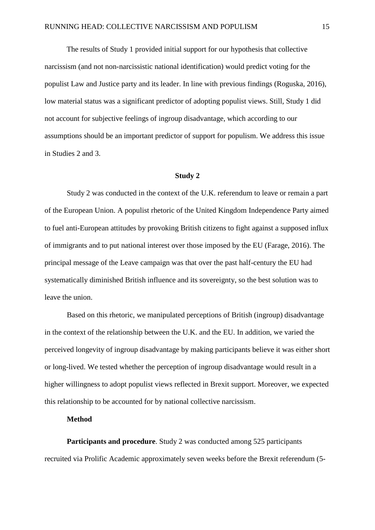The results of Study 1 provided initial support for our hypothesis that collective narcissism (and not non-narcissistic national identification) would predict voting for the populist Law and Justice party and its leader. In line with previous findings (Roguska, 2016), low material status was a significant predictor of adopting populist views. Still, Study 1 did not account for subjective feelings of ingroup disadvantage, which according to our assumptions should be an important predictor of support for populism. We address this issue in Studies 2 and 3.

#### **Study 2**

Study 2 was conducted in the context of the U.K. referendum to leave or remain a part of the European Union. A populist rhetoric of the United Kingdom Independence Party aimed to fuel anti-European attitudes by provoking British citizens to fight against a supposed influx of immigrants and to put national interest over those imposed by the EU (Farage, 2016). The principal message of the Leave campaign was that over the past half-century the EU had systematically diminished British influence and its sovereignty, so the best solution was to leave the union.

Based on this rhetoric, we manipulated perceptions of British (ingroup) disadvantage in the context of the relationship between the U.K. and the EU. In addition, we varied the perceived longevity of ingroup disadvantage by making participants believe it was either short or long-lived. We tested whether the perception of ingroup disadvantage would result in a higher willingness to adopt populist views reflected in Brexit support. Moreover, we expected this relationship to be accounted for by national collective narcissism.

#### **Method**

**Participants and procedure**. Study 2 was conducted among 525 participants recruited via Prolific Academic approximately seven weeks before the Brexit referendum (5-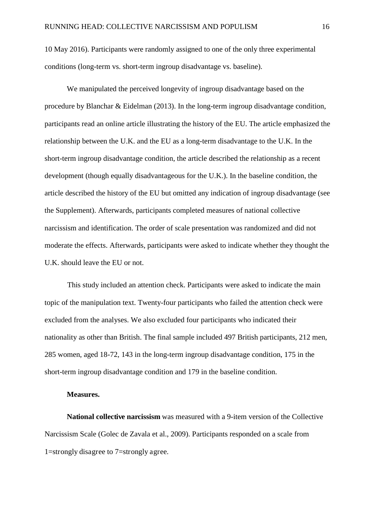10 May 2016). Participants were randomly assigned to one of the only three experimental conditions (long-term vs. short-term ingroup disadvantage vs. baseline).

We manipulated the perceived longevity of ingroup disadvantage based on the procedure by Blanchar & Eidelman (2013). In the long-term ingroup disadvantage condition, participants read an online article illustrating the history of the EU. The article emphasized the relationship between the U.K. and the EU as a long-term disadvantage to the U.K. In the short-term ingroup disadvantage condition, the article described the relationship as a recent development (though equally disadvantageous for the U.K.). In the baseline condition, the article described the history of the EU but omitted any indication of ingroup disadvantage (see the Supplement). Afterwards, participants completed measures of national collective narcissism and identification. The order of scale presentation was randomized and did not moderate the effects. Afterwards, participants were asked to indicate whether they thought the U.K. should leave the EU or not.

This study included an attention check. Participants were asked to indicate the main topic of the manipulation text. Twenty-four participants who failed the attention check were excluded from the analyses. We also excluded four participants who indicated their nationality as other than British. The final sample included 497 British participants, 212 men, 285 women, aged 18-72, 143 in the long-term ingroup disadvantage condition, 175 in the short-term ingroup disadvantage condition and 179 in the baseline condition.

#### **Measures.**

**National collective narcissism** was measured with a 9-item version of the Collective Narcissism Scale (Golec de Zavala et al., 2009). Participants responded on a scale from 1=strongly disagree to 7=strongly agree.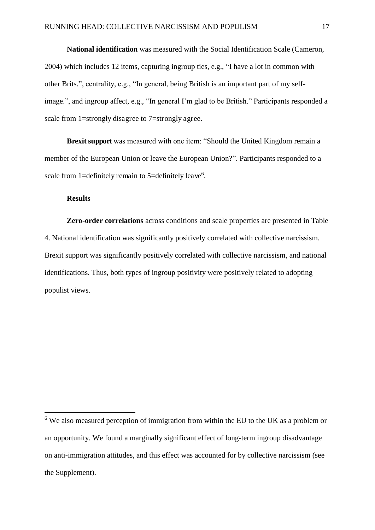**National identification** was measured with the Social Identification Scale (Cameron, 2004) which includes 12 items, capturing ingroup ties, e.g., "I have a lot in common with other Brits.", centrality, e.g., "In general, being British is an important part of my selfimage.", and ingroup affect, e.g., "In general I'm glad to be British." Participants responded a scale from 1=strongly disagree to 7=strongly agree.

**Brexit support** was measured with one item: "Should the United Kingdom remain a member of the European Union or leave the European Union?". Participants responded to a scale from 1=definitely remain to 5=definitely leave<sup>6</sup>.

#### **Results**

 $\overline{a}$ 

**Zero-order correlations** across conditions and scale properties are presented in Table 4. National identification was significantly positively correlated with collective narcissism. Brexit support was significantly positively correlated with collective narcissism, and national identifications. Thus, both types of ingroup positivity were positively related to adopting populist views.

<sup>&</sup>lt;sup>6</sup> We also measured perception of immigration from within the EU to the UK as a problem or an opportunity. We found a marginally significant effect of long-term ingroup disadvantage on anti-immigration attitudes, and this effect was accounted for by collective narcissism (see the Supplement).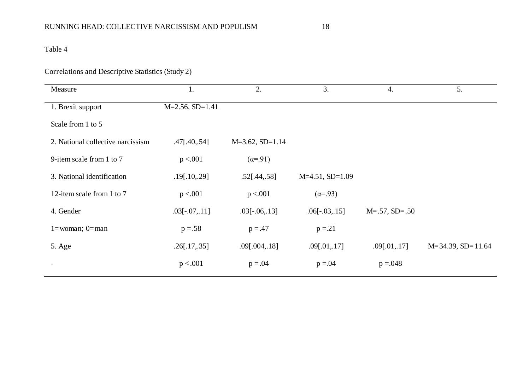## Correlations and Descriptive Statistics (Study 2)

| Measure                           | 1.                | 2.                   | 3.                 | $\overline{4}$ .       | 5.                     |
|-----------------------------------|-------------------|----------------------|--------------------|------------------------|------------------------|
| 1. Brexit support                 | $M=2.56, SD=1.41$ |                      |                    |                        |                        |
| Scale from 1 to 5                 |                   |                      |                    |                        |                        |
| 2. National collective narcissism | .47[.40, .54]     | $M=3.62$ , $SD=1.14$ |                    |                        |                        |
| 9-item scale from 1 to 7          | p < 0.001         | $(\alpha = .91)$     |                    |                        |                        |
| 3. National identification        | .19[.10, .29]     | .52[.44, .58]        | $M=4.51$ , SD=1.09 |                        |                        |
| 12-item scale from 1 to 7         | p < 0.001         | p < 0.001            | $(\alpha = .93)$   |                        |                        |
| 4. Gender                         | $.03[-.07, .11]$  | $.03[-.06, .13]$     | $.06[-.03, .15]$   | $M = .57$ , $SD = .50$ |                        |
| $1 =$ woman; $0 =$ man            | $p = .58$         | $p = .47$            | $p = 21$           |                        |                        |
| 5. Age                            | .26[.17, .35]     | .09[.004, .18]       | .09[.01, .17]      | .09[.01, .17]          | $M=34.39$ , $SD=11.64$ |
|                                   | p < .001          | $p = .04$            | $p = 0.04$         | $p = 0.048$            |                        |
|                                   |                   |                      |                    |                        |                        |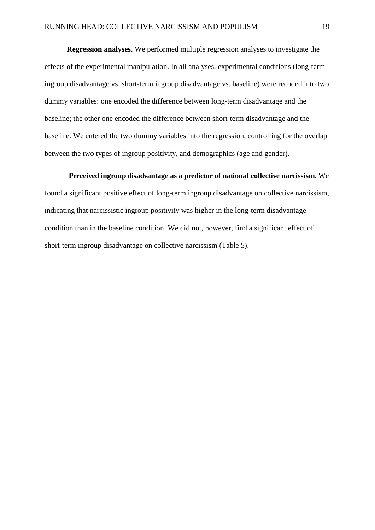**Regression analyses.** We performed multiple regression analyses to investigate the effects of the experimental manipulation. In all analyses, experimental conditions (long-term ingroup disadvantage vs. short-term ingroup disadvantage vs. baseline) were recoded into two dummy variables: one encoded the difference between long-term disadvantage and the baseline; the other one encoded the difference between short-term disadvantage and the baseline. We entered the two dummy variables into the regression, controlling for the overlap between the two types of ingroup positivity, and demographics (age and gender).

**Perceived ingroup disadvantage as a predictor of national collective narcissism.** We found a significant positive effect of long-term ingroup disadvantage on collective narcissism, indicating that narcissistic ingroup positivity was higher in the long-term disadvantage condition than in the baseline condition. We did not, however, find a significant effect of short-term ingroup disadvantage on collective narcissism (Table 5).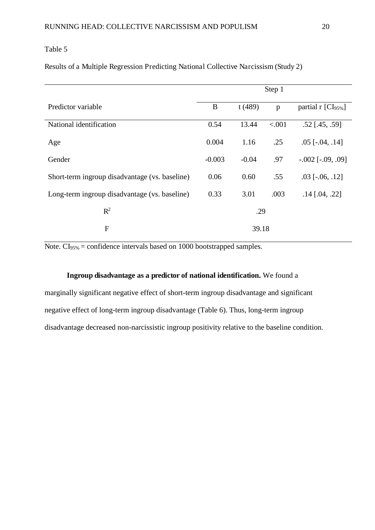Results of a Multiple Regression Predicting National Collective Narcissism (Study 2)

|                                                | Step 1   |         |        |                                  |  |  |
|------------------------------------------------|----------|---------|--------|----------------------------------|--|--|
| Predictor variable                             | $\bf{B}$ | t(489)  | p      | partial $r$ [CI <sub>95%</sub> ] |  |  |
| National identification                        | 0.54     | 13.44   | < .001 | $.52$ [.45, .59]                 |  |  |
| Age                                            | 0.004    | 1.16    | .25    | $.05$ [ $-.04, .14$ ]            |  |  |
| Gender                                         | $-0.003$ | $-0.04$ | .97    | $-.002$ [ $-.09, .09$ ]          |  |  |
| Short-term ingroup disadvantage (vs. baseline) | 0.06     | 0.60    | .55    | $.03$ [ $-.06, .12$ ]            |  |  |
| Long-term ingroup disadvantage (vs. baseline)  | 0.33     | 3.01    | .003   | $.14$ [.04, .22]                 |  |  |
| $R^2$                                          | .29      |         |        |                                  |  |  |
| $\mathbf{F}$                                   |          | 39.18   |        |                                  |  |  |

Note. CI<sub>95%</sub> = confidence intervals based on 1000 bootstrapped samples.

#### **Ingroup disadvantage as a predictor of national identification.** We found a

marginally significant negative effect of short-term ingroup disadvantage and significant negative effect of long-term ingroup disadvantage (Table 6). Thus, long-term ingroup disadvantage decreased non-narcissistic ingroup positivity relative to the baseline condition.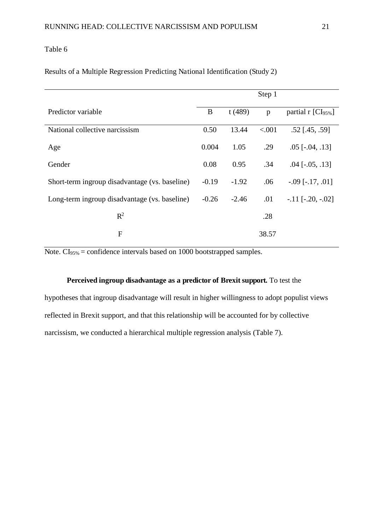|  |  |  | Results of a Multiple Regression Predicting National Identification (Study 2) |  |
|--|--|--|-------------------------------------------------------------------------------|--|
|  |  |  |                                                                               |  |

|                                                |         |         | Step 1 |                                  |
|------------------------------------------------|---------|---------|--------|----------------------------------|
| Predictor variable                             | B       | t(489)  | p      | partial $r$ [CI <sub>95%</sub> ] |
| National collective narcissism                 | 0.50    | 13.44   | < .001 | $.52$ [.45, .59]                 |
| Age                                            | 0.004   | 1.05    | .29    | $.05$ [ $-.04, .13$ ]            |
| Gender                                         | 0.08    | 0.95    | .34    | $.04$ [ $-.05, .13$ ]            |
| Short-term ingroup disadvantage (vs. baseline) | $-0.19$ | $-1.92$ | .06    | $-.09$ [ $-.17, .01$ ]           |
| Long-term ingroup disadvantage (vs. baseline)  | $-0.26$ | $-2.46$ | .01    | $-.11$ [ $-.20, -.02$ ]          |
| $R^2$                                          |         |         | .28    |                                  |
| $\overline{F}$                                 |         |         | 38.57  |                                  |

Note.  $CI<sub>95%</sub> = confidence intervals based on 1000 bootstrapped samples.$ 

#### **Perceived ingroup disadvantage as a predictor of Brexit support.** To test the

hypotheses that ingroup disadvantage will result in higher willingness to adopt populist views reflected in Brexit support, and that this relationship will be accounted for by collective narcissism, we conducted a hierarchical multiple regression analysis (Table 7).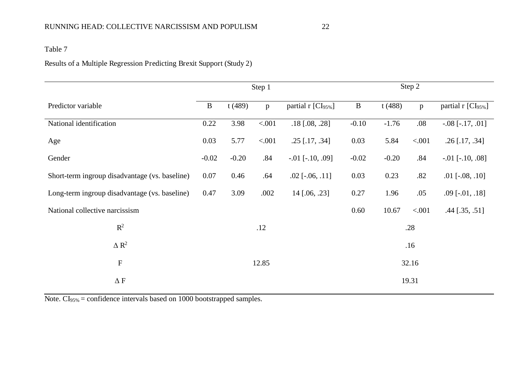## Results of a Multiple Regression Predicting Brexit Support (Study 2)

|                                                | Step 1       |         |         | Step 2                 |              |         |              |                                |
|------------------------------------------------|--------------|---------|---------|------------------------|--------------|---------|--------------|--------------------------------|
| Predictor variable                             | $\, {\bf B}$ | t(489)  | p       | partial r [CI95%]      | $\, {\bf B}$ | t(488)  | $\mathbf{p}$ | partial r [CI <sub>95%</sub> ] |
| National identification                        | 0.22         | 3.98    | < 0.001 | $.18$ [.08, .28]       | $-0.10$      | $-1.76$ | .08          | $-.08$ [ $-.17, .01$ ]         |
| Age                                            | 0.03         | 5.77    | < .001  | $.25$ [.17, .34]       | 0.03         | 5.84    | < .001       | $.26$ [.17, .34]               |
| Gender                                         | $-0.02$      | $-0.20$ | .84     | $-.01$ [ $-.10, .09$ ] | $-0.02$      | $-0.20$ | .84          | $-.01$ [ $-.10, .08$ ]         |
| Short-term ingroup disadvantage (vs. baseline) | 0.07         | 0.46    | .64     | $.02$ [ $-.06, .11$ ]  | 0.03         | 0.23    | .82          | $.01$ [ $-.08, .10$ ]          |
| Long-term ingroup disadvantage (vs. baseline)  | 0.47         | 3.09    | .002    | $14$ [.06, .23]        | 0.27         | 1.96    | .05          | $.09$ [ $-.01, .18$ ]          |
| National collective narcissism                 |              |         |         |                        | 0.60         | 10.67   | < .001       | $.44$ [ $.35, .51$ ]           |
| $\mathbb{R}^2$                                 |              |         | .12     |                        |              |         | .28          |                                |
| $\Delta R^2$                                   |              |         |         |                        |              |         | .16          |                                |
| $\mathbf F$                                    |              |         | 12.85   |                        |              |         | 32.16        |                                |
| $\Delta$ F                                     |              |         |         |                        |              |         | 19.31        |                                |

Note. CI<sub>95%</sub> = confidence intervals based on 1000 bootstrapped samples.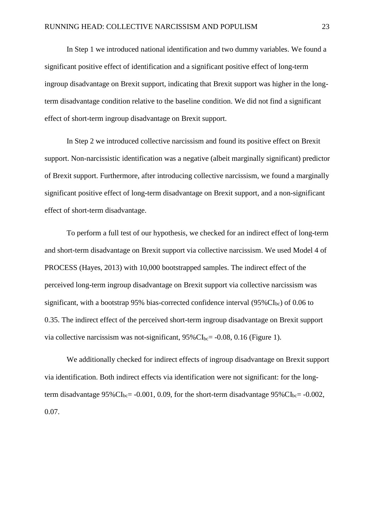In Step 1 we introduced national identification and two dummy variables. We found a significant positive effect of identification and a significant positive effect of long-term ingroup disadvantage on Brexit support, indicating that Brexit support was higher in the longterm disadvantage condition relative to the baseline condition. We did not find a significant effect of short-term ingroup disadvantage on Brexit support.

In Step 2 we introduced collective narcissism and found its positive effect on Brexit support. Non-narcissistic identification was a negative (albeit marginally significant) predictor of Brexit support. Furthermore, after introducing collective narcissism, we found a marginally significant positive effect of long-term disadvantage on Brexit support, and a non-significant effect of short-term disadvantage.

To perform a full test of our hypothesis, we checked for an indirect effect of long-term and short-term disadvantage on Brexit support via collective narcissism. We used Model 4 of PROCESS (Hayes, 2013) with 10,000 bootstrapped samples. The indirect effect of the perceived long-term ingroup disadvantage on Brexit support via collective narcissism was significant, with a bootstrap 95% bias-corrected confidence interval  $(95\%CI_{bc})$  of 0.06 to 0.35. The indirect effect of the perceived short-term ingroup disadvantage on Brexit support via collective narcissism was not-significant,  $95\%$ CI<sub>bc</sub>= -0.08, 0.16 (Figure 1).

We additionally checked for indirect effects of ingroup disadvantage on Brexit support via identification. Both indirect effects via identification were not significant: for the longterm disadvantage  $95\%$ CI<sub>bc</sub>= -0.001, 0.09, for the short-term disadvantage  $95\%$ CI<sub>bc</sub>= -0.002, 0.07.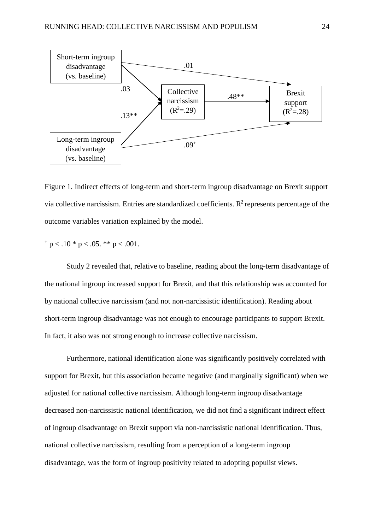

Figure 1. Indirect effects of long-term and short-term ingroup disadvantage on Brexit support via collective narcissism. Entries are standardized coefficients.  $R^2$  represents percentage of the outcome variables variation explained by the model.

 $p < 0.10 * p < 0.05$ . \*\*  $p < 0.001$ .

Study 2 revealed that, relative to baseline, reading about the long-term disadvantage of the national ingroup increased support for Brexit, and that this relationship was accounted for by national collective narcissism (and not non-narcissistic identification). Reading about short-term ingroup disadvantage was not enough to encourage participants to support Brexit. In fact, it also was not strong enough to increase collective narcissism.

Furthermore, national identification alone was significantly positively correlated with support for Brexit, but this association became negative (and marginally significant) when we adjusted for national collective narcissism. Although long-term ingroup disadvantage decreased non-narcissistic national identification, we did not find a significant indirect effect of ingroup disadvantage on Brexit support via non-narcissistic national identification. Thus, national collective narcissism, resulting from a perception of a long-term ingroup disadvantage, was the form of ingroup positivity related to adopting populist views.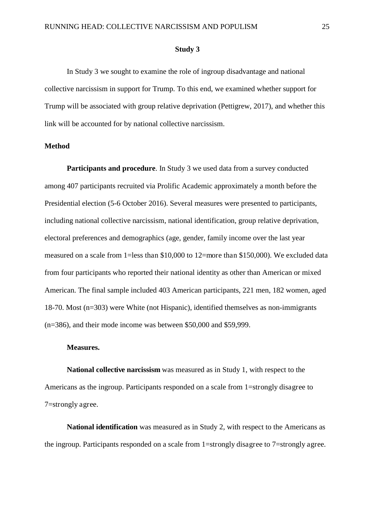#### **Study 3**

In Study 3 we sought to examine the role of ingroup disadvantage and national collective narcissism in support for Trump. To this end, we examined whether support for Trump will be associated with group relative deprivation (Pettigrew, 2017), and whether this link will be accounted for by national collective narcissism.

#### **Method**

**Participants and procedure**. In Study 3 we used data from a survey conducted among 407 participants recruited via Prolific Academic approximately a month before the Presidential election (5-6 October 2016). Several measures were presented to participants, including national collective narcissism, national identification, group relative deprivation, electoral preferences and demographics (age, gender, family income over the last year measured on a scale from 1=less than \$10,000 to 12=more than \$150,000). We excluded data from four participants who reported their national identity as other than American or mixed American. The final sample included 403 American participants, 221 men, 182 women, aged 18-70. Most (n=303) were White (not Hispanic), identified themselves as non-immigrants (n=386), and their mode income was between \$50,000 and \$59,999.

#### **Measures.**

**National collective narcissism** was measured as in Study 1, with respect to the Americans as the ingroup. Participants responded on a scale from 1=strongly disagree to 7=strongly agree.

**National identification** was measured as in Study 2, with respect to the Americans as the ingroup. Participants responded on a scale from 1=strongly disagree to 7=strongly agree.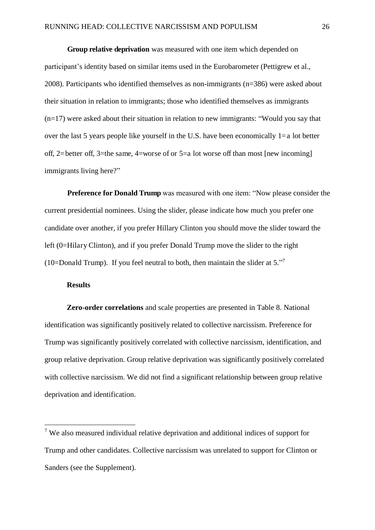**Group relative deprivation** was measured with one item which depended on participant's identity based on similar items used in the Eurobarometer (Pettigrew et al., 2008). Participants who identified themselves as non-immigrants (n=386) were asked about their situation in relation to immigrants; those who identified themselves as immigrants (n=17) were asked about their situation in relation to new immigrants: "Would you say that over the last 5 years people like yourself in the U.S. have been economically  $1=a$  lot better off, 2=better off, 3=the same, 4=worse of or 5=a lot worse off than most [new incoming] immigrants living here?"

**Preference for Donald Trump** was measured with one item: "Now please consider the current presidential nominees. Using the slider, please indicate how much you prefer one candidate over another, if you prefer Hillary Clinton you should move the slider toward the left (0=Hilary Clinton), and if you prefer Donald Trump move the slider to the right (10=Donald Trump). If you feel neutral to both, then maintain the slider at  $5.^{37}$ 

#### **Results**

 $\overline{a}$ 

**Zero-order correlations** and scale properties are presented in Table 8. National identification was significantly positively related to collective narcissism. Preference for Trump was significantly positively correlated with collective narcissism, identification, and group relative deprivation. Group relative deprivation was significantly positively correlated with collective narcissism. We did not find a significant relationship between group relative deprivation and identification.

<sup>&</sup>lt;sup>7</sup> We also measured individual relative deprivation and additional indices of support for Trump and other candidates. Collective narcissism was unrelated to support for Clinton or Sanders (see the Supplement).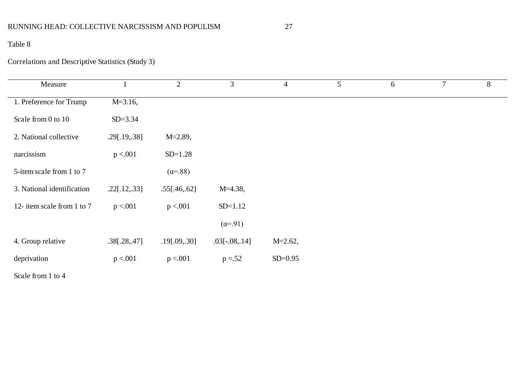## RUNNING HEAD: COLLECTIVE NARCISSISM AND POPULISM 27

## Table 8

## Correlations and Descriptive Statistics (Study 3)

| Measure                    |               | $\overline{2}$  | 3                | $\overline{4}$ |
|----------------------------|---------------|-----------------|------------------|----------------|
| 1. Preference for Trump    | $M = 3.16$ ,  |                 |                  |                |
| Scale from 0 to 10         | $SD = 3.34$   |                 |                  |                |
| 2. National collective     | .29[.19, .38] | $M = 2.89$ ,    |                  |                |
| narcissism                 | p < 0.001     | $SD=1.28$       |                  |                |
| 5-item scale from 1 to 7   |               | $(\alpha = 88)$ |                  |                |
| 3. National identification | .22[.12, .33] | .55[.46, .62]   | $M=4.38$ ,       |                |
| 12- item scale from 1 to 7 | p < 0.01      | p < 0.001       | $SD=1.12$        |                |
|                            |               |                 | $(\alpha = .91)$ |                |
| 4. Group relative          | .38[.28, .47] | .19[.09, .30]   | $.03[-.08, .14]$ | $M = 2.62$ ,   |
| deprivation                | p < 0.01      | p < 0.01        | $p = 52$         | $SD = 0.95$    |
|                            |               |                 |                  |                |

Scale from 1 to 4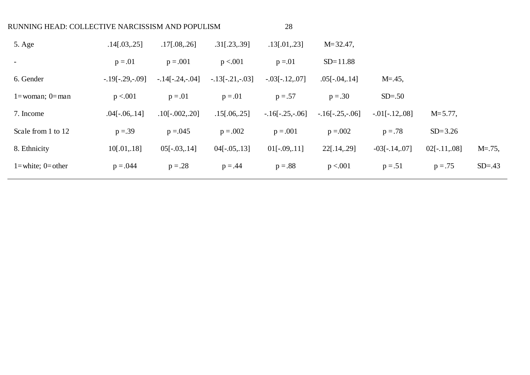| RUNNING HEAD: COLLECTIVE NARCISSISM AND POPULISM |                   |                   | 28                |                   |                   |                  |                 |             |
|--------------------------------------------------|-------------------|-------------------|-------------------|-------------------|-------------------|------------------|-----------------|-------------|
| 5. Age                                           | .14[.03, .25]     | $.17$ [.08,.26]   | $.31$ [.23,.39]   | $.13$ [.01,.23]   | $M = 32.47$ ,     |                  |                 |             |
|                                                  | $p = .01$         | $p = .001$        | p < 0.001         | $p = 01$          | $SD = 11.88$      |                  |                 |             |
| 6. Gender                                        | $-.19[-.29,-.09]$ | $-14[-.24,-.04]$  | $-.13[-.21,-.03]$ | $-.03[-.12, .07]$ | $.05[-.04, .14]$  | $M = .45$ ,      |                 |             |
| $1 =$ woman; $0 =$ man                           | p < 0.001         | $p = .01$         | $p = .01$         | $p = .57$         | $p = .30$         | $SD=.50$         |                 |             |
| 7. Income                                        | $.04[-.06, .14]$  | $.10[-.002, .20]$ | $.15$ [.06,.25]   | $-16[-.25,-.06]$  | $-.16[-.25,-.06]$ | $-.01[-.12,08]$  | $M = 5.77$ ,    |             |
| Scale from 1 to 12                               | $p = 0.39$        | $p = 0.045$       | $p = .002$        | $p = .001$        | $p = 0.002$       | $p = .78$        | $SD = 3.26$     |             |
| 8. Ethnicity                                     | 10[.01, .18]      | $05[-.03, .14]$   | $04[-.05,.13]$    | $01[-.09, 11]$    | $22$ [.14,.29]    | $-03[-.14, .07]$ | $02[-.11, .08]$ | $M = .75$ , |
| $1 = white$ ; $0 = other$                        | $p = .044$        | $p = .28$         | $p = .44$         | $p=.88$           | p < 0.001         | $p = .51$        | $p = .75$       | $SD = .43$  |
|                                                  |                   |                   |                   |                   |                   |                  |                 |             |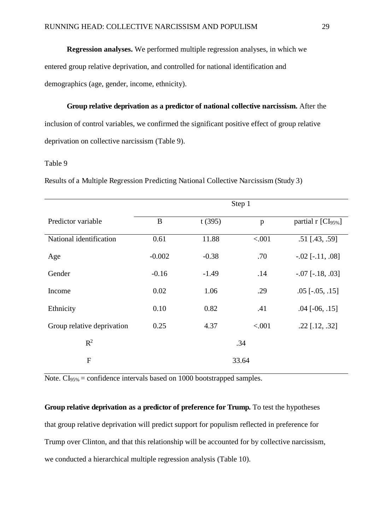## **Regression analyses.** We performed multiple regression analyses, in which we entered group relative deprivation, and controlled for national identification and demographics (age, gender, income, ethnicity).

**Group relative deprivation as a predictor of national collective narcissism.** After the inclusion of control variables, we confirmed the significant positive effect of group relative deprivation on collective narcissism (Table 9).

#### Table 9

Results of a Multiple Regression Predicting National Collective Narcissism (Study 3)

|                            | Step 1             |         |        |                                |  |  |  |  |  |
|----------------------------|--------------------|---------|--------|--------------------------------|--|--|--|--|--|
| Predictor variable         | $\bf{B}$<br>t(395) |         | p      | partial r [CI <sub>95%</sub> ] |  |  |  |  |  |
| National identification    | 0.61               | 11.88   | < .001 | $.51$ [.43, .59]               |  |  |  |  |  |
| Age                        | $-0.002$           | $-0.38$ | .70    | $-.02$ [ $-.11, .08$ ]         |  |  |  |  |  |
| Gender                     | $-0.16$            | $-1.49$ | .14    | $-.07$ [ $-.18, .03$ ]         |  |  |  |  |  |
| Income                     | 0.02               | 1.06    | .29    | $.05$ [ $-.05, .15$ ]          |  |  |  |  |  |
| Ethnicity                  | 0.10               | 0.82    | .41    | $.04$ [ $-06$ , $.15$ ]        |  |  |  |  |  |
| Group relative deprivation | 0.25               | 4.37    | < .001 | $.22$ [.12, .32]               |  |  |  |  |  |
| $R^2$                      | .34                |         |        |                                |  |  |  |  |  |
| $\mathbf{F}$               |                    |         | 33.64  |                                |  |  |  |  |  |

Note. CI<sub>95%</sub> = confidence intervals based on 1000 bootstrapped samples.

**Group relative deprivation as a predictor of preference for Trump.** To test the hypotheses that group relative deprivation will predict support for populism reflected in preference for Trump over Clinton, and that this relationship will be accounted for by collective narcissism, we conducted a hierarchical multiple regression analysis (Table 10).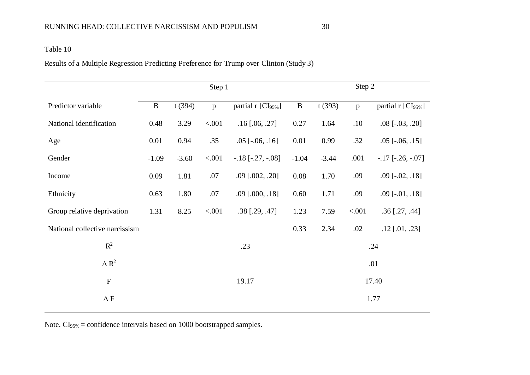Results of a Multiple Regression Predicting Preference for Trump over Clinton (Study 3)

|                                | Step 1       |         |         | Step 2                         |              |         |              |                                  |  |
|--------------------------------|--------------|---------|---------|--------------------------------|--------------|---------|--------------|----------------------------------|--|
| Predictor variable             | $\, {\bf B}$ | t(394)  | p       | partial r [CI <sub>95%</sub> ] | $\, {\bf B}$ | t(393)  | $\mathbf{p}$ | partial $r$ [CI <sub>95%</sub> ] |  |
| National identification        | 0.48         | 3.29    | < .001  | $.16$ [.06, .27]               | 0.27         | 1.64    | .10          | $.08$ [ $-.03, .20$ ]            |  |
| Age                            | 0.01         | 0.94    | .35     | $.05$ [ $-.06, .16$ ]          | 0.01         | 0.99    | .32          | $.05$ [ $-.06, .15$ ]            |  |
| Gender                         | $-1.09$      | $-3.60$ | < .001  | $-.18$ [ $-.27, -.08$ ]        | $-1.04$      | $-3.44$ | .001         | $-.17$ [ $-.26, -.07$ ]          |  |
| Income                         | 0.09         | 1.81    | .07     | $.09$ [ $.002, .20$ ]          | 0.08         | 1.70    | .09          | $.09$ [ $-.02, .18$ ]            |  |
| Ethnicity                      | 0.63         | 1.80    | .07     | $.09$ [ $.000, .18$ ]          | 0.60         | 1.71    | .09          | $.09$ [ $-.01, .18$ ]            |  |
| Group relative deprivation     | 1.31         | 8.25    | < 0.001 | $.38$ [.29, .47]               | 1.23         | 7.59    | < .001       | $.36$ [.27, .44]                 |  |
| National collective narcissism |              |         |         |                                | 0.33         | 2.34    | .02          | $.12$ [.01, .23]                 |  |
| $R^2$                          |              |         |         | .23                            |              | .24     |              |                                  |  |
| $\Delta R^2$                   |              |         |         |                                |              | .01     |              |                                  |  |
| $\boldsymbol{\mathrm{F}}$      |              |         |         | 19.17                          |              | 17.40   |              |                                  |  |
| $\Delta$ F                     |              |         |         |                                |              | 1.77    |              |                                  |  |
|                                |              |         |         |                                |              |         |              |                                  |  |

Note. CI<sub>95%</sub> = confidence intervals based on 1000 bootstrapped samples.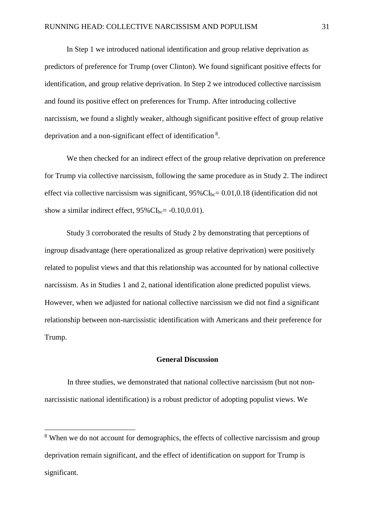In Step 1 we introduced national identification and group relative deprivation as predictors of preference for Trump (over Clinton). We found significant positive effects for identification, and group relative deprivation. In Step 2 we introduced collective narcissism and found its positive effect on preferences for Trump. After introducing collective narcissism, we found a slightly weaker, although significant positive effect of group relative deprivation and a non-significant effect of identification<sup>8</sup>.

We then checked for an indirect effect of the group relative deprivation on preference for Trump via collective narcissism, following the same procedure as in Study 2. The indirect effect via collective narcissism was significant,  $95\%$ CI<sub>bc</sub>= 0.01,0.18 (identification did not show a similar indirect effect,  $95\%$ CI<sub>bc</sub>= -0.10,0,01).

Study 3 corroborated the results of Study 2 by demonstrating that perceptions of ingroup disadvantage (here operationalized as group relative deprivation) were positively related to populist views and that this relationship was accounted for by national collective narcissism. As in Studies 1 and 2, national identification alone predicted populist views. However, when we adjusted for national collective narcissism we did not find a significant relationship between non-narcissistic identification with Americans and their preference for Trump.

#### **General Discussion**

In three studies, we demonstrated that national collective narcissism (but not nonnarcissistic national identification) is a robust predictor of adopting populist views. We

 $\overline{a}$ 

<sup>&</sup>lt;sup>8</sup> When we do not account for demographics, the effects of collective narcissism and group deprivation remain significant, and the effect of identification on support for Trump is significant.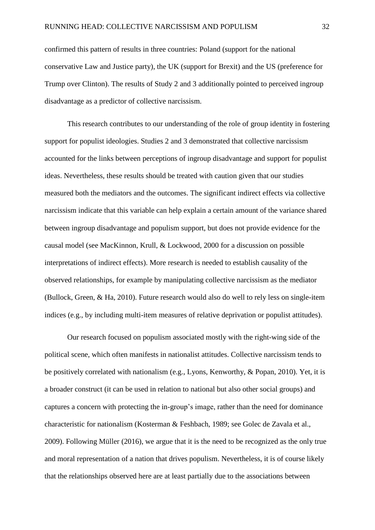confirmed this pattern of results in three countries: Poland (support for the national conservative Law and Justice party), the UK (support for Brexit) and the US (preference for Trump over Clinton). The results of Study 2 and 3 additionally pointed to perceived ingroup disadvantage as a predictor of collective narcissism.

This research contributes to our understanding of the role of group identity in fostering support for populist ideologies. Studies 2 and 3 demonstrated that collective narcissism accounted for the links between perceptions of ingroup disadvantage and support for populist ideas. Nevertheless, these results should be treated with caution given that our studies measured both the mediators and the outcomes. The significant indirect effects via collective narcissism indicate that this variable can help explain a certain amount of the variance shared between ingroup disadvantage and populism support, but does not provide evidence for the causal model (see MacKinnon, Krull, & Lockwood, 2000 for a discussion on possible interpretations of indirect effects). More research is needed to establish causality of the observed relationships, for example by manipulating collective narcissism as the mediator (Bullock, Green, & Ha, 2010). Future research would also do well to rely less on single-item indices (e.g., by including multi-item measures of relative deprivation or populist attitudes).

Our research focused on populism associated mostly with the right-wing side of the political scene, which often manifests in nationalist attitudes. Collective narcissism tends to be positively correlated with nationalism (e.g., Lyons, Kenworthy, & Popan, 2010). Yet, it is a broader construct (it can be used in relation to national but also other social groups) and captures a concern with protecting the in-group's image, rather than the need for dominance characteristic for nationalism (Kosterman & Feshbach, 1989; see Golec de Zavala et al., 2009). Following Müller (2016), we argue that it is the need to be recognized as the only true and moral representation of a nation that drives populism. Nevertheless, it is of course likely that the relationships observed here are at least partially due to the associations between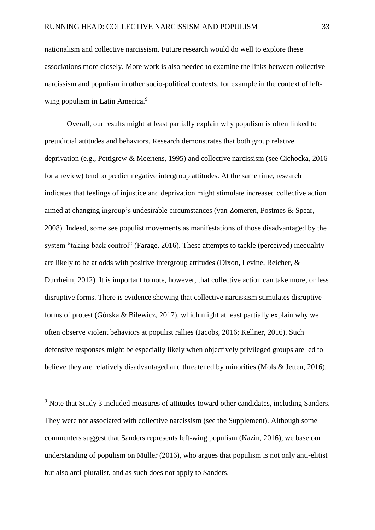nationalism and collective narcissism. Future research would do well to explore these associations more closely. More work is also needed to examine the links between collective narcissism and populism in other socio-political contexts, for example in the context of leftwing populism in Latin America.<sup>9</sup>

Overall, our results might at least partially explain why populism is often linked to prejudicial attitudes and behaviors. Research demonstrates that both group relative deprivation (e.g., Pettigrew & Meertens, 1995) and collective narcissism (see Cichocka, 2016 for a review) tend to predict negative intergroup attitudes. At the same time, research indicates that feelings of injustice and deprivation might stimulate increased collective action aimed at changing ingroup's undesirable circumstances (van Zomeren, Postmes & Spear, 2008). Indeed, some see populist movements as manifestations of those disadvantaged by the system "taking back control" (Farage, 2016). These attempts to tackle (perceived) inequality are likely to be at odds with positive intergroup attitudes (Dixon, Levine, Reicher, & Durrheim, 2012). It is important to note, however, that collective action can take more, or less disruptive forms. There is evidence showing that collective narcissism stimulates disruptive forms of protest (Górska & Bilewicz, 2017), which might at least partially explain why we often observe violent behaviors at populist rallies (Jacobs, 2016; Kellner, 2016). Such defensive responses might be especially likely when objectively privileged groups are led to believe they are relatively disadvantaged and threatened by minorities (Mols & Jetten, 2016).

 $\overline{a}$ 

<sup>&</sup>lt;sup>9</sup> Note that Study 3 included measures of attitudes toward other candidates, including Sanders. They were not associated with collective narcissism (see the Supplement). Although some commenters suggest that Sanders represents left-wing populism (Kazin, 2016), we base our understanding of populism on Müller (2016), who argues that populism is not only anti-elitist but also anti-pluralist, and as such does not apply to Sanders.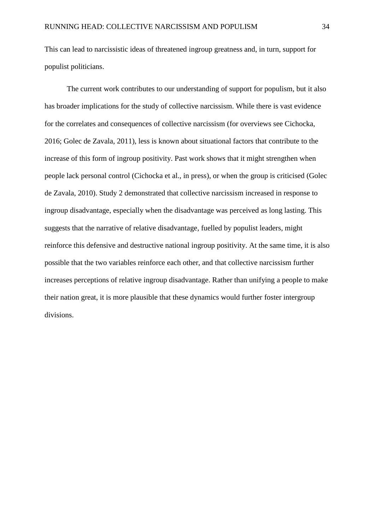This can lead to narcissistic ideas of threatened ingroup greatness and, in turn, support for populist politicians.

The current work contributes to our understanding of support for populism, but it also has broader implications for the study of collective narcissism. While there is vast evidence for the correlates and consequences of collective narcissism (for overviews see Cichocka, 2016; Golec de Zavala, 2011), less is known about situational factors that contribute to the increase of this form of ingroup positivity. Past work shows that it might strengthen when people lack personal control (Cichocka et al., in press), or when the group is criticised (Golec de Zavala, 2010). Study 2 demonstrated that collective narcissism increased in response to ingroup disadvantage, especially when the disadvantage was perceived as long lasting. This suggests that the narrative of relative disadvantage, fuelled by populist leaders, might reinforce this defensive and destructive national ingroup positivity. At the same time, it is also possible that the two variables reinforce each other, and that collective narcissism further increases perceptions of relative ingroup disadvantage. Rather than unifying a people to make their nation great, it is more plausible that these dynamics would further foster intergroup divisions.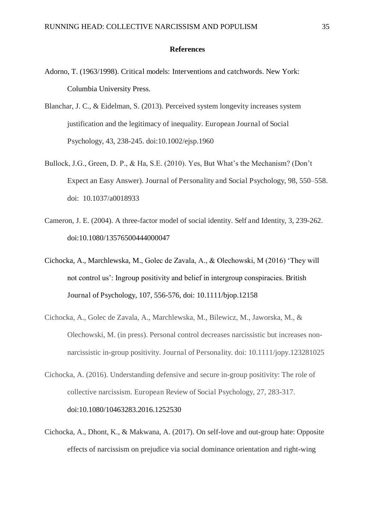#### **References**

- Adorno, T. (1963/1998). Critical models: Interventions and catchwords. New York: Columbia University Press.
- Blanchar, J. C., & Eidelman, S. (2013). Perceived system longevity increases system justification and the legitimacy of inequality. European Journal of Social Psychology, 43, 238-245. doi:10.1002/ejsp.1960
- Bullock, J.G., Green, D. P., & Ha, S.E. (2010). Yes, But What's the Mechanism? (Don't Expect an Easy Answer). Journal of Personality and Social Psychology, 98, 550–558. doi: 10.1037/a0018933
- Cameron, J. E. (2004). A three-factor model of social identity. Self and Identity, 3, 239-262. doi:10.1080/13576500444000047
- Cichocka, A., Marchlewska, M., Golec de Zavala, A., & Olechowski, M (2016) 'They will not control us': Ingroup positivity and belief in intergroup conspiracies. British Journal of Psychology, 107, 556-576, doi: 10.1111/bjop.12158
- Cichocka, A., Golec de Zavala, A., Marchlewska, M., Bilewicz, M., Jaworska, M., & Olechowski, M. (in press). Personal control decreases narcissistic but increases nonnarcissistic in-group positivity. Journal of Personality. doi: 10.1111/jopy.123281025
- Cichocka, A. (2016). Understanding defensive and secure in-group positivity: The role of collective narcissism. European Review of Social Psychology, 27, 283-317. doi:10.1080/10463283.2016.1252530
- Cichocka, A., Dhont, K., & Makwana, A. (2017). On self-love and out-group hate: Opposite effects of narcissism on prejudice via social dominance orientation and right-wing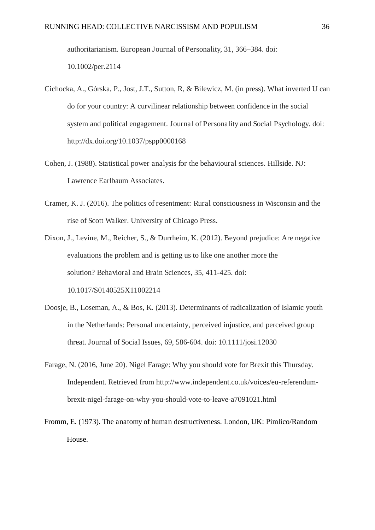authoritarianism. European Journal of Personality, 31, 366–384. doi: 10.1002/per.2114

- Cichocka, A., Górska, P., Jost, J.T., Sutton, R, & Bilewicz, M. (in press). What inverted U can do for your country: A curvilinear relationship between confidence in the social system and political engagement. Journal of Personality and Social Psychology. doi: http://dx.doi.org/10.1037/pspp0000168
- Cohen, J. (1988). Statistical power analysis for the behavioural sciences. Hillside. NJ: Lawrence Earlbaum Associates.
- Cramer, K. J. (2016). The politics of resentment: Rural consciousness in Wisconsin and the rise of Scott Walker. University of Chicago Press.
- Dixon, J., Levine, M., Reicher, S., & Durrheim, K. (2012). Beyond prejudice: Are negative evaluations the problem and is getting us to like one another more the solution? Behavioral and Brain Sciences, 35, 411-425. doi: 10.1017/S0140525X11002214
- Doosje, B., Loseman, A., & Bos, K. (2013). Determinants of radicalization of Islamic youth in the Netherlands: Personal uncertainty, perceived injustice, and perceived group threat. Journal of Social Issues, 69, 586-604. doi: 10.1111/josi.12030
- Farage, N. (2016, June 20). Nigel Farage: Why you should vote for Brexit this Thursday. Independent. Retrieved from http://www.independent.co.uk/voices/eu-referendumbrexit-nigel-farage-on-why-you-should-vote-to-leave-a7091021.html
- Fromm, E. (1973). The anatomy of human destructiveness. London, UK: Pimlico/Random House.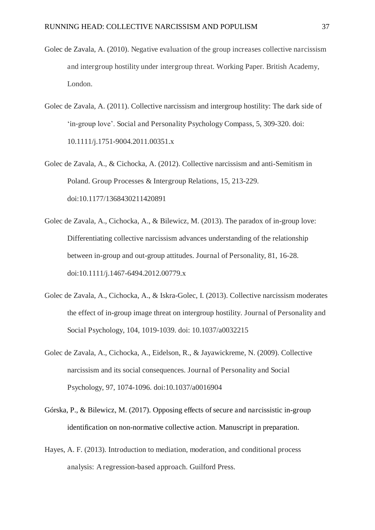- Golec de Zavala, A. (2010). Negative evaluation of the group increases collective narcissism and intergroup hostility under intergroup threat. Working Paper. British Academy, London.
- Golec de Zavala, A. (2011). Collective narcissism and intergroup hostility: The dark side of 'in-group love'. Social and Personality Psychology Compass, 5, 309-320. doi: 10.1111/j.1751-9004.2011.00351.x
- Golec de Zavala, A., & Cichocka, A. (2012). Collective narcissism and anti-Semitism in Poland. Group Processes & Intergroup Relations, 15, 213-229. doi:10.1177/1368430211420891
- Golec de Zavala, A., Cichocka, A., & Bilewicz, M. (2013). The paradox of in-group love: Differentiating collective narcissism advances understanding of the relationship between in-group and out-group attitudes. Journal of Personality, 81, 16-28. doi:10.1111/j.1467-6494.2012.00779.x
- Golec de Zavala, A., Cichocka, A., & Iskra-Golec, I. (2013). Collective narcissism moderates the effect of in-group image threat on intergroup hostility. Journal of Personality and Social Psychology, 104, 1019-1039. doi: 10.1037/a0032215
- Golec de Zavala, A., Cichocka, A., Eidelson, R., & Jayawickreme, N. (2009). Collective narcissism and its social consequences. Journal of Personality and Social Psychology, 97, 1074-1096. doi:10.1037/a0016904
- Górska, P., & Bilewicz, M. (2017). Opposing effects of secure and narcissistic in-group identification on non-normative collective action. Manuscript in preparation.
- Hayes, A. F. (2013). Introduction to mediation, moderation, and conditional process analysis: A regression-based approach. Guilford Press.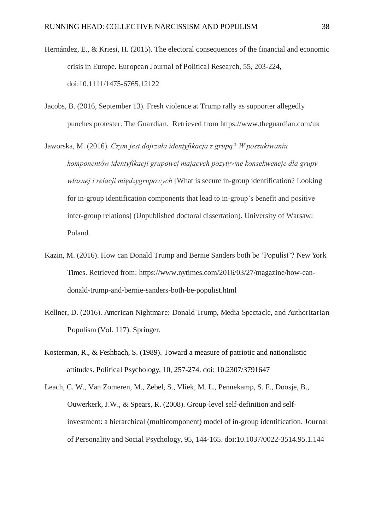- Hernández, E., & Kriesi, H. (2015). The electoral consequences of the financial and economic crisis in Europe. European Journal of Political Research, 55, 203-224, doi:10.1111/1475-6765.12122
- Jacobs, B. (2016, September 13). Fresh violence at Trump rally as supporter allegedly punches protester. The Guardian. Retrieved from https://www.theguardian.com/uk
- Jaworska, M. (2016). *Czym jest dojrzała identyfikacja z grupą? W poszukiwaniu komponentów identyfikacji grupowej mających pozytywne konsekwencje dla grupy własnej i relacji międzygrupowych* [What is secure in-group identification? Looking for in-group identification components that lead to in-group's benefit and positive inter-group relations] (Unpublished doctoral dissertation). University of Warsaw: Poland.
- Kazin, M. (2016). How can Donald Trump and Bernie Sanders both be 'Populist'? New York Times. Retrieved from: https://www.nytimes.com/2016/03/27/magazine/how-candonald-trump-and-bernie-sanders-both-be-populist.html
- Kellner, D. (2016). American Nightmare: Donald Trump, Media Spectacle, and Authoritarian Populism (Vol. 117). Springer.
- Kosterman, R., & Feshbach, S. (1989). Toward a measure of patriotic and nationalistic attitudes. Political Psychology, 10, 257-274. doi: 10.2307/3791647

Leach, C. W., Van Zomeren, M., Zebel, S., Vliek, M. L., Pennekamp, S. F., Doosje, B., Ouwerkerk, J.W., & Spears, R. (2008). Group-level self-definition and selfinvestment: a hierarchical (multicomponent) model of in-group identification. Journal of Personality and Social Psychology, 95, 144-165. doi:10.1037/0022-3514.95.1.144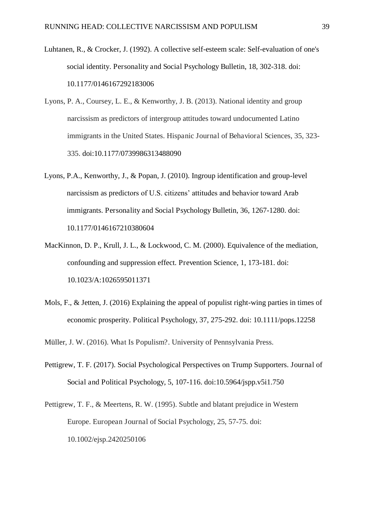- Luhtanen, R., & Crocker, J. (1992). A collective self-esteem scale: Self-evaluation of one's social identity. Personality and Social Psychology Bulletin, 18, 302-318. doi: 10.1177/0146167292183006
- Lyons, P. A., Coursey, L. E., & Kenworthy, J. B. (2013). National identity and group narcissism as predictors of intergroup attitudes toward undocumented Latino immigrants in the United States. Hispanic Journal of Behavioral Sciences, 35, 323- 335. doi:10.1177/0739986313488090
- Lyons, P.A., Kenworthy, J., & Popan, J. (2010). Ingroup identification and group-level narcissism as predictors of U.S. citizens' attitudes and behavior toward Arab immigrants. Personality and Social Psychology Bulletin, 36, 1267-1280. doi: 10.1177/0146167210380604
- MacKinnon, D. P., Krull, J. L., & Lockwood, C. M. (2000). Equivalence of the mediation, confounding and suppression effect. Prevention Science, 1, 173-181. doi: 10.1023/A:1026595011371
- Mols, F., & Jetten, J. (2016) Explaining the appeal of populist right-wing parties in times of economic prosperity. Political Psychology, 37, 275-292. doi: 10.1111/pops.12258

Müller, J. W. (2016). What Is Populism?. University of Pennsylvania Press.

- Pettigrew, T. F. (2017). Social Psychological Perspectives on Trump Supporters. Journal of Social and Political Psychology, 5, 107-116. doi:10.5964/jspp.v5i1.750
- Pettigrew, T. F., & Meertens, R. W. (1995). Subtle and blatant prejudice in Western Europe. European Journal of Social Psychology, 25, 57-75. doi: 10.1002/ejsp.2420250106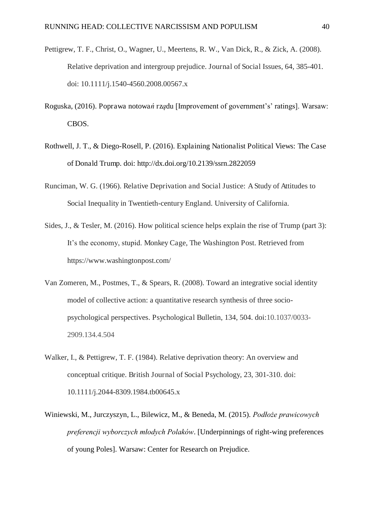- Pettigrew, T. F., Christ, O., Wagner, U., Meertens, R. W., Van Dick, R., & Zick, A. (2008). Relative deprivation and intergroup prejudice. Journal of Social Issues, 64, 385-401. doi: 10.1111/j.1540-4560.2008.00567.x
- Roguska, (2016). Poprawa notowa*ń* rządu [Improvement of government's' ratings]. Warsaw: CBOS.
- Rothwell, J. T., & Diego-Rosell, P. (2016). Explaining Nationalist Political Views: The Case of Donald Trump. doi: http://dx.doi.org/10.2139/ssrn.2822059
- Runciman, W. G. (1966). Relative Deprivation and Social Justice: A Study of Attitudes to Social Inequality in Twentieth-century England. University of California.
- Sides, J., & Tesler, M. (2016). How political science helps explain the rise of Trump (part 3): It's the economy, stupid. Monkey Cage, The Washington Post. Retrieved from https://www.washingtonpost.com/
- Van Zomeren, M., Postmes, T., & Spears, R. (2008). Toward an integrative social identity model of collective action: a quantitative research synthesis of three sociopsychological perspectives. Psychological Bulletin, 134, 504. doi:10.1037/0033- 2909.134.4.504
- Walker, I., & Pettigrew, T. F. (1984). Relative deprivation theory: An overview and conceptual critique. British Journal of Social Psychology, 23, 301-310. doi: 10.1111/j.2044-8309.1984.tb00645.x
- Winiewski, M., Jurczyszyn, L., Bilewicz, M., & Beneda, M. (2015). *Podłoce prawicowych preferencji wyborczych młodych Polaków*. [Underpinnings of right-wing preferences of young Poles]. Warsaw: Center for Research on Prejudice.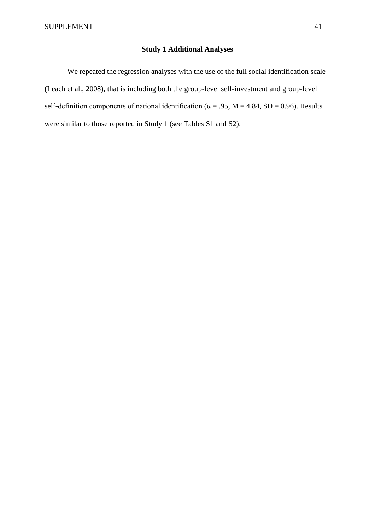#### **Study 1 Additional Analyses**

We repeated the regression analyses with the use of the full social identification scale (Leach et al., 2008), that is including both the group-level self-investment and group-level self-definition components of national identification ( $\alpha$  = .95, M = 4.84, SD = 0.96). Results were similar to those reported in Study 1 (see Tables S1 and S2).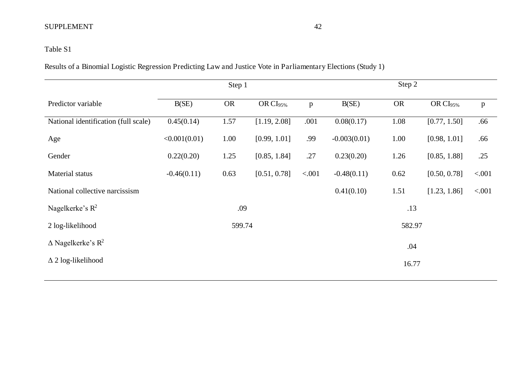# Table S1

Results of a Binomial Logistic Regression Predicting Law and Justice Vote in Parliamentary Elections (Study 1)

|                                      |               | Step 1    |                      |        |                | Step 2    |                      |              |
|--------------------------------------|---------------|-----------|----------------------|--------|----------------|-----------|----------------------|--------------|
| Predictor variable                   | B(SE)         | <b>OR</b> | OR CI <sub>95%</sub> | p      | B(SE)          | <b>OR</b> | OR CI <sub>95%</sub> | $\mathbf{p}$ |
| National identification (full scale) | 0.45(0.14)    | 1.57      | [1.19, 2.08]         | .001   | 0.08(0.17)     | 1.08      | [0.77, 1.50]         | .66          |
| Age                                  | <0.001(0.01)  | 1.00      | [0.99, 1.01]         | .99    | $-0.003(0.01)$ | 1.00      | [0.98, 1.01]         | .66          |
| Gender                               | 0.22(0.20)    | 1.25      | [0.85, 1.84]         | .27    | 0.23(0.20)     | 1.26      | [0.85, 1.88]         | .25          |
| Material status                      | $-0.46(0.11)$ | 0.63      | [0.51, 0.78]         | < .001 | $-0.48(0.11)$  | 0.62      | [0.50, 0.78]         | < .001       |
| National collective narcissism       |               |           |                      |        | 0.41(0.10)     | 1.51      | [1.23, 1.86]         | < .001       |
| Nagelkerke's $R^2$                   |               | .09       |                      |        |                | .13       |                      |              |
| 2 log-likelihood                     |               | 599.74    |                      |        |                | 582.97    |                      |              |
| $\Delta$ Nagelkerke's R <sup>2</sup> |               |           |                      |        |                | .04       |                      |              |
| $\Delta$ 2 log-likelihood            |               |           |                      |        |                | 16.77     |                      |              |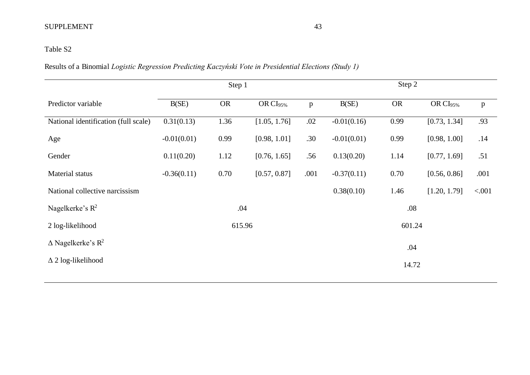# Table S2

Results of a Binomial *Logistic Regression Predicting Kaczyński Vote in Presidential Elections (Study 1)* 

|                                         |               | Step 1    |                      |      |               | Step 2    |                      |         |
|-----------------------------------------|---------------|-----------|----------------------|------|---------------|-----------|----------------------|---------|
| Predictor variable                      | B(SE)         | <b>OR</b> | OR CI <sub>95%</sub> | p    | B(SE)         | <b>OR</b> | OR CI <sub>95%</sub> | p       |
| National identification (full scale)    | 0.31(0.13)    | 1.36      | [1.05, 1.76]         | .02  | $-0.01(0.16)$ | 0.99      | [0.73, 1.34]         | .93     |
| Age                                     | $-0.01(0.01)$ | 0.99      | [0.98, 1.01]         | .30  | $-0.01(0.01)$ | 0.99      | [0.98, 1.00]         | .14     |
| Gender                                  | 0.11(0.20)    | 1.12      | [0.76, 1.65]         | .56  | 0.13(0.20)    | 1.14      | [0.77, 1.69]         | .51     |
| Material status                         | $-0.36(0.11)$ | 0.70      | [0.57, 0.87]         | .001 | $-0.37(0.11)$ | 0.70      | [0.56, 0.86]         | .001    |
| National collective narcissism          |               |           |                      |      | 0.38(0.10)    | 1.46      | [1.20, 1.79]         | < 0.001 |
| Nagelkerke's $R^2$                      |               | .04       |                      |      |               | .08       |                      |         |
| 2 log-likelihood                        |               | 615.96    |                      |      |               | 601.24    |                      |         |
| $\triangle$ Nagelkerke's R <sup>2</sup> |               |           |                      |      |               | .04       |                      |         |
| $\Delta$ 2 log-likelihood               |               |           |                      |      |               | 14.72     |                      |         |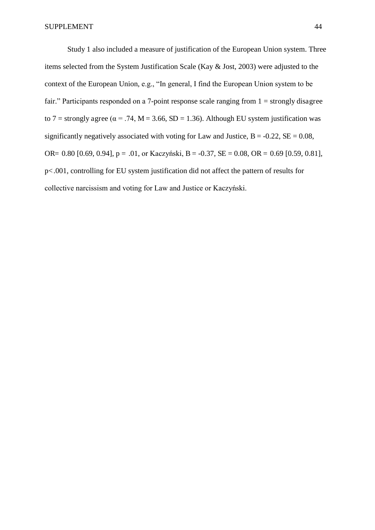Study 1 also included a measure of justification of the European Union system. Three items selected from the System Justification Scale (Kay & Jost, 2003) were adjusted to the context of the European Union, e.g., "In general, I find the European Union system to be fair." Participants responded on a 7-point response scale ranging from  $1 =$  strongly disagree to 7 = strongly agree ( $\alpha$  = .74, M = 3.66, SD = 1.36). Although EU system justification was significantly negatively associated with voting for Law and Justice,  $B = -0.22$ ,  $SE = 0.08$ , OR= 0.80 [0.69, 0.94],  $p = .01$ , or Kaczyński, B = -0.37, SE = 0.08, OR = 0.69 [0.59, 0.81], p<.001, controlling for EU system justification did not affect the pattern of results for collective narcissism and voting for Law and Justice or Kaczyński.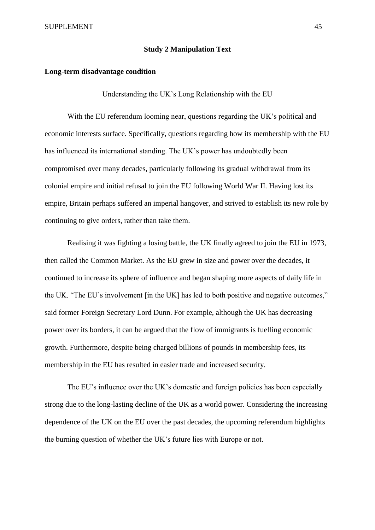#### **Study 2 Manipulation Text**

#### **Long-term disadvantage condition**

Understanding the UK's Long Relationship with the EU

With the EU referendum looming near, questions regarding the UK's political and economic interests surface. Specifically, questions regarding how its membership with the EU has influenced its international standing. The UK's power has undoubtedly been compromised over many decades, particularly following its gradual withdrawal from its colonial empire and initial refusal to join the EU following World War II. Having lost its empire, Britain perhaps suffered an imperial hangover, and strived to establish its new role by continuing to give orders, rather than take them.

Realising it was fighting a losing battle, the UK finally agreed to join the EU in 1973, then called the Common Market. As the EU grew in size and power over the decades, it continued to increase its sphere of influence and began shaping more aspects of daily life in the UK. "The EU's involvement [in the UK] has led to both positive and negative outcomes," said former Foreign Secretary Lord Dunn. For example, although the UK has decreasing power over its borders, it can be argued that the flow of immigrants is fuelling economic growth. Furthermore, despite being charged billions of pounds in membership fees, its membership in the EU has resulted in easier trade and increased security.

The EU's influence over the UK's domestic and foreign policies has been especially strong due to the long-lasting decline of the UK as a world power. Considering the increasing dependence of the UK on the EU over the past decades, the upcoming referendum highlights the burning question of whether the UK's future lies with Europe or not.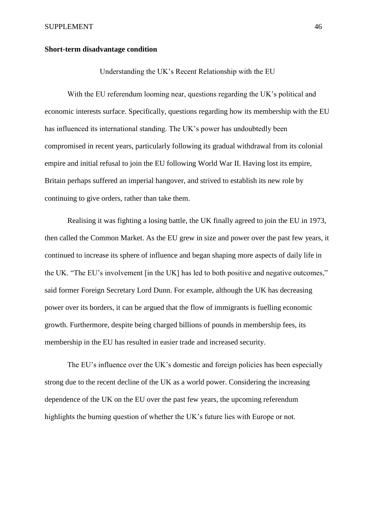#### **Short-term disadvantage condition**

Understanding the UK's Recent Relationship with the EU

With the EU referendum looming near, questions regarding the UK's political and economic interests surface. Specifically, questions regarding how its membership with the EU has influenced its international standing. The UK's power has undoubtedly been compromised in recent years, particularly following its gradual withdrawal from its colonial empire and initial refusal to join the EU following World War II. Having lost its empire, Britain perhaps suffered an imperial hangover, and strived to establish its new role by continuing to give orders, rather than take them.

Realising it was fighting a losing battle, the UK finally agreed to join the EU in 1973, then called the Common Market. As the EU grew in size and power over the past few years, it continued to increase its sphere of influence and began shaping more aspects of daily life in the UK. "The EU's involvement [in the UK] has led to both positive and negative outcomes," said former Foreign Secretary Lord Dunn. For example, although the UK has decreasing power over its borders, it can be argued that the flow of immigrants is fuelling economic growth. Furthermore, despite being charged billions of pounds in membership fees, its membership in the EU has resulted in easier trade and increased security.

The EU's influence over the UK's domestic and foreign policies has been especially strong due to the recent decline of the UK as a world power. Considering the increasing dependence of the UK on the EU over the past few years, the upcoming referendum highlights the burning question of whether the UK's future lies with Europe or not.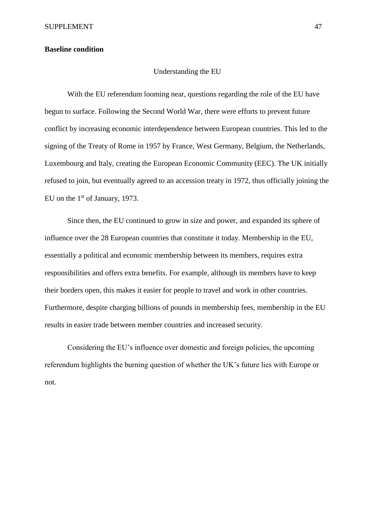#### **Baseline condition**

#### Understanding the EU

With the EU referendum looming near, questions regarding the role of the EU have begun to surface. Following the Second World War, there were efforts to prevent future conflict by increasing economic interdependence between European countries. This led to the signing of the Treaty of Rome in 1957 by France, West Germany, Belgium, the Netherlands, Luxembourg and Italy, creating the European Economic Community (EEC). The UK initially refused to join, but eventually agreed to an accession treaty in 1972, thus officially joining the EU on the  $1<sup>st</sup>$  of January, 1973.

Since then, the EU continued to grow in size and power, and expanded its sphere of influence over the 28 European countries that constitute it today. Membership in the EU, essentially a political and economic membership between its members, requires extra responsibilities and offers extra benefits. For example, although its members have to keep their borders open, this makes it easier for people to travel and work in other countries. Furthermore, despite charging billions of pounds in membership fees, membership in the EU results in easier trade between member countries and increased security.

Considering the EU's influence over domestic and foreign policies, the upcoming referendum highlights the burning question of whether the UK's future lies with Europe or not.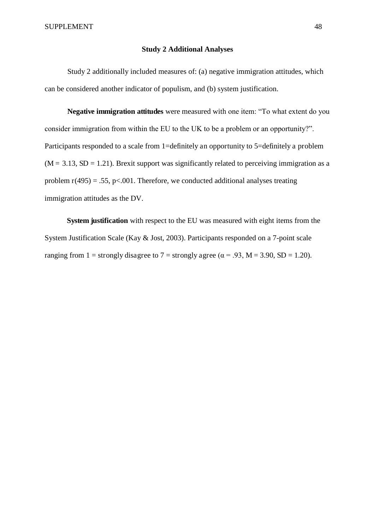#### **Study 2 Additional Analyses**

Study 2 additionally included measures of: (a) negative immigration attitudes, which can be considered another indicator of populism, and (b) system justification.

**Negative immigration attitudes** were measured with one item: "To what extent do you consider immigration from within the EU to the UK to be a problem or an opportunity?". Participants responded to a scale from 1=definitely an opportunity to 5=definitely a problem  $(M = 3.13, SD = 1.21)$ . Brexit support was significantly related to perceiving immigration as a problem  $r(495) = .55$ , p<.001. Therefore, we conducted additional analyses treating immigration attitudes as the DV.

**System justification** with respect to the EU was measured with eight items from the System Justification Scale (Kay & Jost, 2003). Participants responded on a 7-point scale ranging from 1 = strongly disagree to 7 = strongly agree ( $\alpha$  = .93, M = 3.90, SD = 1.20).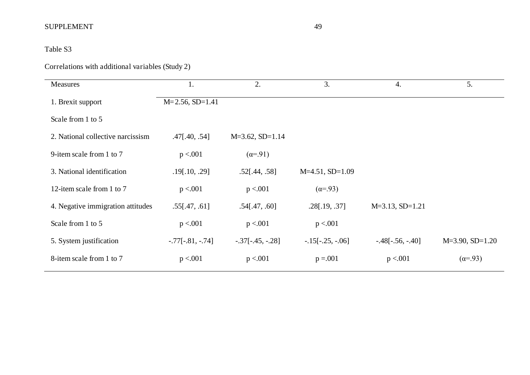# Table S3

# Correlations with additional variables (Study 2)

| Measures                          | 1.                   | 2.                   | 3.                 | 4.                 | 5.                |
|-----------------------------------|----------------------|----------------------|--------------------|--------------------|-------------------|
| 1. Brexit support                 | $M=2.56$ , SD=1.41   |                      |                    |                    |                   |
| Scale from 1 to 5                 |                      |                      |                    |                    |                   |
| 2. National collective narcissism | $.47$ [ $.40, .54$ ] | $M=3.62$ , $SD=1.14$ |                    |                    |                   |
| 9-item scale from 1 to 7          | p < 0.01             | $(\alpha = .91)$     |                    |                    |                   |
| 3. National identification        | .19[.10, .29]        | .52[.44, .58]        | $M=4.51$ , SD=1.09 |                    |                   |
| 12-item scale from 1 to 7         | p < 0.01             | p < 0.001            | $(\alpha = .93)$   |                    |                   |
| 4. Negative immigration attitudes | .55[.47, .61]        | .54[.47, .60]        | .28[.19, .37]      | $M=3.13, SD=1.21$  |                   |
| Scale from 1 to 5                 | p < 0.001            | p < 0.001            | p < 001            |                    |                   |
| 5. System justification           | $-.77[-.81, -.74]$   | $-.37[-.45, -.28]$   | $-.15[-.25, -.06]$ | $-.48[-.56, -.40]$ | $M=3.90, SD=1.20$ |
| 8-item scale from 1 to 7          | p < 0.001            | p < 0.001            | $p = 0.001$        | p < 0.001          | $(\alpha = .93)$  |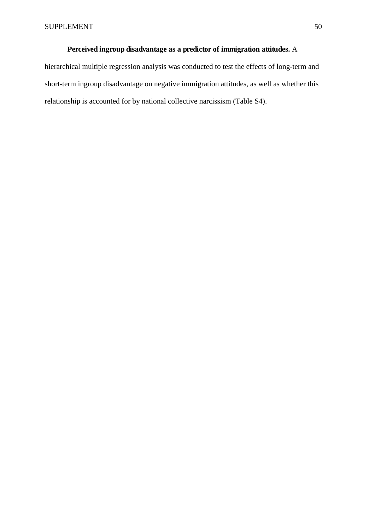## **Perceived ingroup disadvantage as a predictor of immigration attitudes.** A

hierarchical multiple regression analysis was conducted to test the effects of long-term and short-term ingroup disadvantage on negative immigration attitudes, as well as whether this relationship is accounted for by national collective narcissism (Table S4).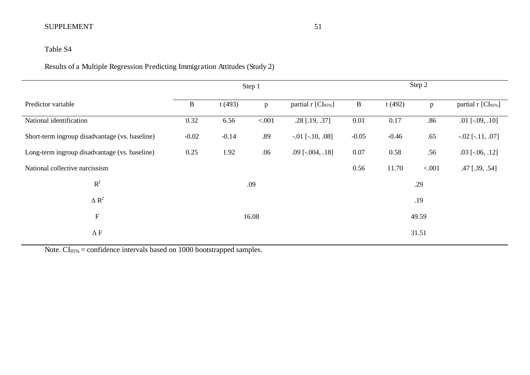# Table S4

Results of a Multiple Regression Predicting Immigration Attitudes (Study 2)

|                                                |          |         | Step 1 |                                | Step 2       |         |        |                                |
|------------------------------------------------|----------|---------|--------|--------------------------------|--------------|---------|--------|--------------------------------|
| Predictor variable                             | $\bf{B}$ | t(493)  | p      | partial r [CI <sub>95%</sub> ] | $\mathbf{B}$ | t(492)  | p      | partial r [CI <sub>95%</sub> ] |
| National identification                        | 0.32     | 6.56    | < 0.01 | $.28$ [.19, .37]               | 0.01         | 0.17    | .86    | $.01$ [ $-.09, .10$ ]          |
| Short-term ingroup disadvantage (vs. baseline) | $-0.02$  | $-0.14$ | .89    | $-.01$ [ $-.10, .08$ ]         | $-0.05$      | $-0.46$ | .65    | $-.02$ [ $-.11, .07$ ]         |
| Long-term ingroup disadvantage (vs. baseline)  | 0.25     | 1.92    | .06    | $.09$ [ $-.004, .18$ ]         | 0.07         | 0.58    | .56    | $.03$ [ $-.06, .12$ ]          |
| National collective narcissism                 |          |         |        |                                | 0.56         | 11.70   | < .001 | $.47$ [ $.39, .54$ ]           |
| $\mathbb{R}^2$                                 |          |         | .09    |                                |              |         | .29    |                                |
| $\Delta R^2$                                   |          |         |        |                                |              |         | .19    |                                |
| ${\bf F}$                                      |          |         | 16.08  |                                |              |         | 49.59  |                                |
| $\Delta$ F                                     |          |         |        |                                | 31.51        |         |        |                                |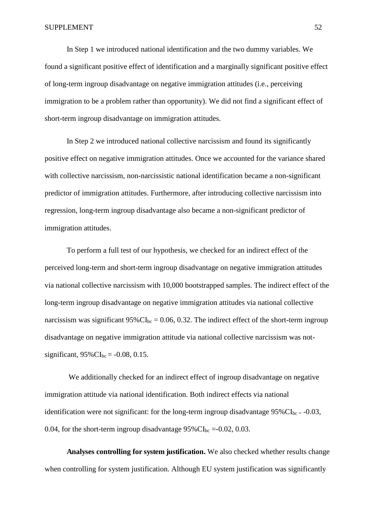In Step 1 we introduced national identification and the two dummy variables. We found a significant positive effect of identification and a marginally significant positive effect of long-term ingroup disadvantage on negative immigration attitudes (i.e., perceiving immigration to be a problem rather than opportunity). We did not find a significant effect of short-term ingroup disadvantage on immigration attitudes.

In Step 2 we introduced national collective narcissism and found its significantly positive effect on negative immigration attitudes. Once we accounted for the variance shared with collective narcissism, non-narcissistic national identification became a non-significant predictor of immigration attitudes. Furthermore, after introducing collective narcissism into regression, long-term ingroup disadvantage also became a non-significant predictor of immigration attitudes.

To perform a full test of our hypothesis, we checked for an indirect effect of the perceived long-term and short-term ingroup disadvantage on negative immigration attitudes via national collective narcissism with 10,000 bootstrapped samples. The indirect effect of the long-term ingroup disadvantage on negative immigration attitudes via national collective narcissism was significant  $95\%$  CI<sub>bc</sub> = 0.06, 0.32. The indirect effect of the short-term ingroup disadvantage on negative immigration attitude via national collective narcissism was notsignificant,  $95\%$ CI<sub>bc</sub> = -0.08, 0.15.

 We additionally checked for an indirect effect of ingroup disadvantage on negative immigration attitude via national identification. Both indirect effects via national identification were not significant: for the long-term ingroup disadvantage  $95\%$ CI<sub>bc</sub> = -0.03, 0.04, for the short-term ingroup disadvantage  $95\%$  CI<sub>bc</sub> =-0.02, 0.03.

**Analyses controlling for system justification.** We also checked whether results change when controlling for system justification. Although EU system justification was significantly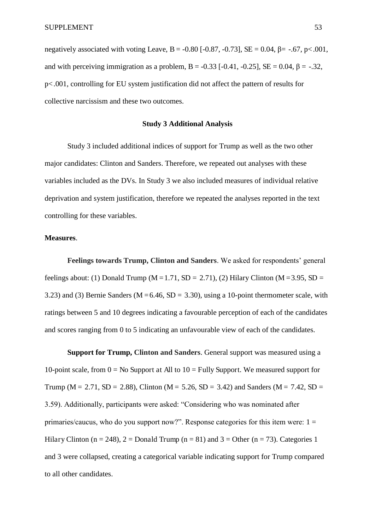negatively associated with voting Leave, B = -0.80 [-0.87, -0.73], SE = 0.04,  $\beta$  = -.67, p < .001, and with perceiving immigration as a problem,  $B = -0.33$  [ $-0.41$ ,  $-0.25$ ],  $SE = 0.04$ ,  $B = -0.32$ . p<.001, controlling for EU system justification did not affect the pattern of results for collective narcissism and these two outcomes.

#### **Study 3 Additional Analysis**

Study 3 included additional indices of support for Trump as well as the two other major candidates: Clinton and Sanders. Therefore, we repeated out analyses with these variables included as the DVs. In Study 3 we also included measures of individual relative deprivation and system justification, therefore we repeated the analyses reported in the text controlling for these variables.

#### **Measures**.

**Feelings towards Trump, Clinton and Sanders**. We asked for respondents' general feelings about: (1) Donald Trump ( $M = 1.71$ ,  $SD = 2.71$ ), (2) Hilary Clinton ( $M = 3.95$ ,  $SD =$ 3.23) and (3) Bernie Sanders ( $M = 6.46$ ,  $SD = 3.30$ ), using a 10-point thermometer scale, with ratings between 5 and 10 degrees indicating a favourable perception of each of the candidates and scores ranging from 0 to 5 indicating an unfavourable view of each of the candidates.

**Support for Trump, Clinton and Sanders**. General support was measured using a 10-point scale, from  $0 = No$  Support at All to  $10 = Fully$  Support. We measured support for Trump ( $M = 2.71$ ,  $SD = 2.88$ ), Clinton ( $M = 5.26$ ,  $SD = 3.42$ ) and Sanders ( $M = 7.42$ ,  $SD =$ 3.59). Additionally, participants were asked: "Considering who was nominated after primaries/caucus, who do you support now?". Response categories for this item were:  $1 =$ Hilary Clinton (n = 248), 2 = Donald Trump (n = 81) and 3 = Other (n = 73). Categories 1 and 3 were collapsed, creating a categorical variable indicating support for Trump compared to all other candidates.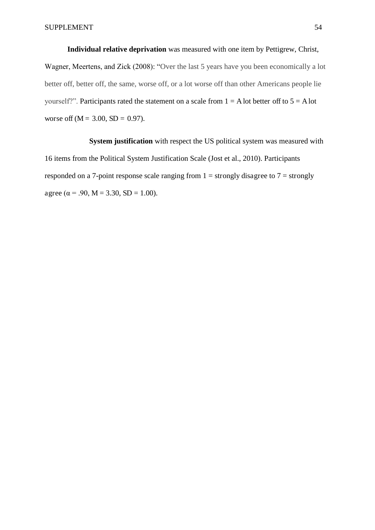**Individual relative deprivation** was measured with one item by Pettigrew, Christ, Wagner, Meertens, and Zick (2008): "Over the last 5 years have you been economically a lot better off, better off, the same, worse off, or a lot worse off than other Americans people lie yourself?". Participants rated the statement on a scale from  $1 = A$  lot better off to  $5 = A$  lot worse off ( $M = 3.00$ ,  $SD = 0.97$ ).

**System justification** with respect the US political system was measured with 16 items from the Political System Justification Scale (Jost et al., 2010). Participants responded on a 7-point response scale ranging from  $1 =$  strongly disagree to  $7 =$  strongly agree ( $\alpha$  = .90, M = 3.30, SD = 1.00).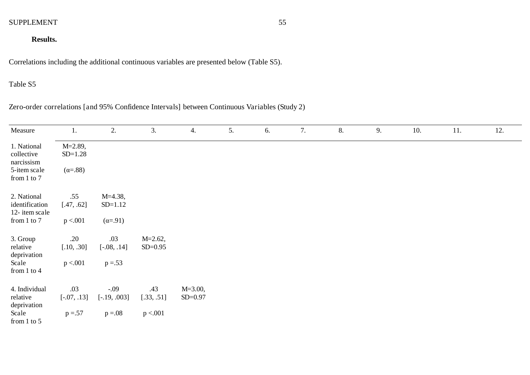## **Results.**

Correlations including the additional continuous variables are presented below (Table S5).

## Table S5

Zero-order correlations [and 95% Confidence Intervals] between Continuous Variables (Study 2)

| Measure                                 | 1.                        | 2.               | 3.          | 4.          | 5. | 6. | 7. | 8. | 9. | 10. | 11. | 12. |
|-----------------------------------------|---------------------------|------------------|-------------|-------------|----|----|----|----|----|-----|-----|-----|
| 1. National<br>collective<br>narcissism | $M = 2.89$ ,<br>$SD=1.28$ |                  |             |             |    |    |    |    |    |     |     |     |
| 5-item scale<br>from 1 to 7             | $(\alpha = .88)$          |                  |             |             |    |    |    |    |    |     |     |     |
| 2. National                             | .55                       | $M=4.38$ ,       |             |             |    |    |    |    |    |     |     |     |
| identification<br>12-item scale         | [.47, .62]                | $SD=1.12$        |             |             |    |    |    |    |    |     |     |     |
| from 1 to 7                             | p < 001                   | $(\alpha = .91)$ |             |             |    |    |    |    |    |     |     |     |
| 3. Group                                | .20                       | .03              | $M = 2.62,$ |             |    |    |    |    |    |     |     |     |
| relative<br>deprivation                 | [.10, .30]                | $[-.08, .14]$    | $SD = 0.95$ |             |    |    |    |    |    |     |     |     |
| Scale<br>from 1 to 4                    | p < 001                   | $p = 0.53$       |             |             |    |    |    |    |    |     |     |     |
| 4. Individual                           | .03                       | $-.09$           | .43         | $M = 3.00,$ |    |    |    |    |    |     |     |     |
| relative<br>deprivation                 | $[-.07, .13]$             | $[-.19, .003]$   | [.33, .51]  | $SD = 0.97$ |    |    |    |    |    |     |     |     |
| Scale<br>from $1$ to $5$                | $p = 0.57$                | $p=.08$          | p < 001     |             |    |    |    |    |    |     |     |     |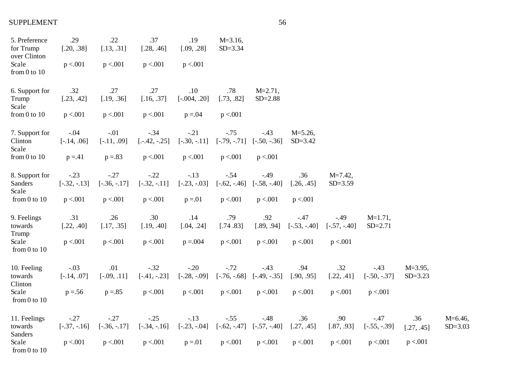| 5. Preference<br>for Trump<br>over Clinton | .29<br>[.20, .38]        | .22<br>[.13, .31]        | .37<br>[.28, .46]        | .19<br>[.09, .28]        | $M = 3.16$ ,<br>$SD = 3.34$ |                             |                             |                             |                           |                             |                           |
|--------------------------------------------|--------------------------|--------------------------|--------------------------|--------------------------|-----------------------------|-----------------------------|-----------------------------|-----------------------------|---------------------------|-----------------------------|---------------------------|
| Scale<br>from $0$ to $10$                  | p < 0.01                 | p < 0.001                | p < 0.001                | p < 0.001                |                             |                             |                             |                             |                           |                             |                           |
| 6. Support for<br>Trump<br>Scale           | .32<br>[.23, .42]        | .27<br>[.19, .36]        | .27<br>[.16, .37]        | .10<br>$[-.004, .20]$    | .78<br>[.73, .82]           | $M = 2.71$ ,<br>$SD = 2.88$ |                             |                             |                           |                             |                           |
| from $0$ to $10$                           | p < 0.01                 | p < 0.001                | p < 0.001                | $p = 0.04$               | p < 0.01                    |                             |                             |                             |                           |                             |                           |
| 7. Support for<br>Clinton<br>Scale         | $-.04$<br>$[-.14, .06]$  | $-.01$<br>$[-.11, .09]$  | $-.34$<br>$[-.42, -.25]$ | $-.21$<br>$[-.30, -.11]$ | $-.75$<br>$[-.79, -.71]$    | $-.43$<br>$[-.50, -0.36]$   | $M = 5.26$ ,<br>$SD = 3.42$ |                             |                           |                             |                           |
| from $0$ to $10$                           | $p = 41$                 | $p = 83$                 | p < 0.001                | p < 0.001                | p < 001                     | p < .001                    |                             |                             |                           |                             |                           |
| 8. Support for<br>Sanders<br>Scale         | $-.23$<br>$[-.32, -.13]$ | $-.27$<br>$[-.36, -.17]$ | $-.22$<br>$[-.32, -.11]$ | $-.13$<br>$[-.23, -.03]$ | $-.54$<br>$[-.62, -0.46]$   | $-.49$<br>$[-.58, -.40]$    | .36<br>[.26, .45]           | $M = 7.42$ ,<br>$SD = 3.59$ |                           |                             |                           |
| from $0$ to $10$                           | p < 001                  | p < 0.001                | p < 0.001                | $p = 01$                 | p < 0.01                    | p < 0.001                   | p < 0.001                   |                             |                           |                             |                           |
| 9. Feelings<br>towards<br>Trump            | .31<br>[.22, .40]        | .26<br>[.17, .35]        | .30<br>[.19, .40]        | .14<br>[.04, .24]        | .79<br>[.74.83]             | .92<br>[.89, .94]           | $-.47$<br>$[-.53, -.40]$    | $-0.49$<br>$[-.57, -.40]$   | $M=1.71$ ,<br>$SD = 2.71$ |                             |                           |
| Scale<br>from $0$ to $10$                  | p < 001                  | p < 0.001                | p < 0.001                | $p = 0.004$              | p < 0.01                    | p < 0.01                    | p < 001                     | p < 0.001                   |                           |                             |                           |
| 10. Feeling<br>towards<br>Clinton          | $-.03$<br>$[-.14, .07]$  | .01<br>$[-.09, .11]$     | $-.32$<br>$[-.41, -.23]$ | $-.20$<br>$[-.28, -.09]$ | $-.72$<br>$[-.76, -.68]$    | $-.43$<br>$[-.49, -.35]$    | .94<br>[.90, .95]           | .32<br>[.22, .41]           | $-.43$<br>$[-.50, -0.37]$ | $M = 3.95$ ,<br>$SD = 3.23$ |                           |
| Scale<br>from $0$ to $10$                  | $p = 56$                 | $p = 85$                 | p < 0.001                | p < 0.001                | p < 0.01                    | p < 0.01                    | p < 0.001                   | p < 0.001                   | p < .001                  |                             |                           |
| 11. Feelings<br>towards<br>Sanders         | $-.27$<br>$[-.37, -.16]$ | $-.27$<br>$[-.36, -.17]$ | $-.25$<br>$[-.34, -.16]$ | $-.13$<br>$[-.23, -.04]$ | $-.55$<br>$[-.62, -0.47]$   | $-.48$<br>$[-.57, -.40]$    | .36<br>[.27, .45]           | .90<br>[.87, .93]           | $-.47$<br>$[-.55, -0.39]$ | .36<br>[.27, .45]           | $M=6.46$ ,<br>$SD = 3.03$ |
| Scale<br>from $0$ to $10$                  | p < 0.001                | p < 0.001                | p < 0.001                | $p = 0.01$               | p < 0.001                   | p < 0.01                    | p < 0.001                   | p < 0.001                   | p < 001                   | p < .001                    |                           |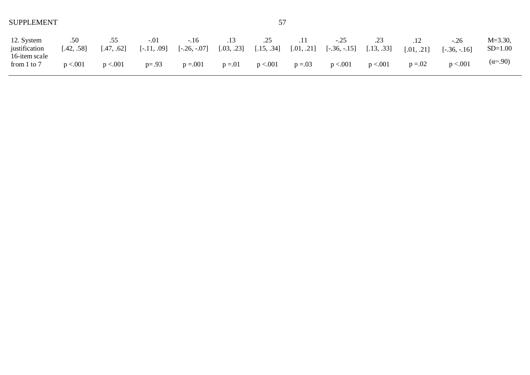| 12. System<br>justification      | .50<br>[.42, .58] | .55<br>[.47, .62] | $-.01$<br>$[-.11, .09]$ | $-.16$<br>$[-.26, -.07]$ | [.03, .23] | .25<br>[.15, .34] | .11        | $-.25$<br>$[.01, .21]$ $[-.36, -.15]$ $[.13, .33]$ | .23       | [.01, .21] | $-.26$<br>$[-.36, -.16]$ | $M = 3.30$ ,<br>$SD=1.00$ |
|----------------------------------|-------------------|-------------------|-------------------------|--------------------------|------------|-------------------|------------|----------------------------------------------------|-----------|------------|--------------------------|---------------------------|
| 16-item scale<br>from $1$ to $7$ | p < 0.001         | p < 0.001         | $p = .93$               | $p = 0.001$              | $p = 01$   | p < 0.001         | $p = 0.03$ | p < 0.001                                          | p < 0.001 | $p = 0.02$ | p < 0.001                | $(\alpha = .90)$          |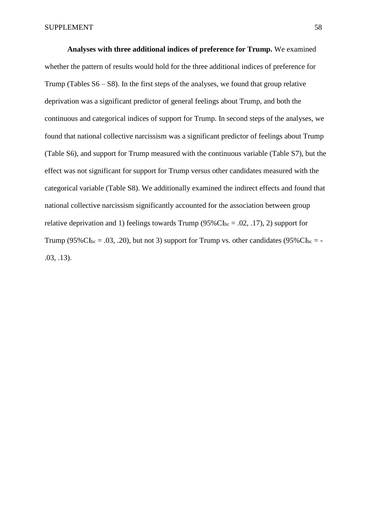**Analyses with three additional indices of preference for Trump.** We examined whether the pattern of results would hold for the three additional indices of preference for Trump (Tables  $S6 - S8$ ). In the first steps of the analyses, we found that group relative deprivation was a significant predictor of general feelings about Trump, and both the continuous and categorical indices of support for Trump. In second steps of the analyses, we found that national collective narcissism was a significant predictor of feelings about Trump (Table S6), and support for Trump measured with the continuous variable (Table S7), but the effect was not significant for support for Trump versus other candidates measured with the categorical variable (Table S8). We additionally examined the indirect effects and found that national collective narcissism significantly accounted for the association between group relative deprivation and 1) feelings towards Trump ( $95\%$ CI<sub>bc</sub> = .02, .17), 2) support for Trump (95% $CI_{bc} = .03, .20$ ), but not 3) support for Trump vs. other candidates (95% $CI_{bc} = -$ .03, .13).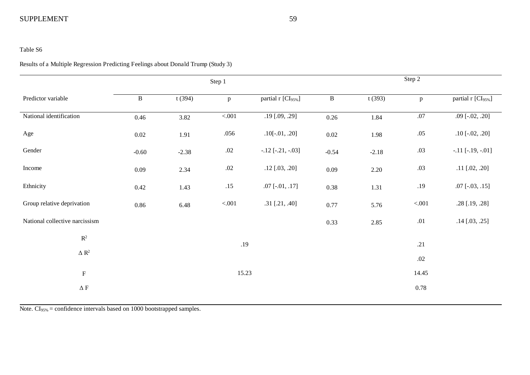#### Table S6

#### Results of a Multiple Regression Predicting Feelings about Donald Trump (Study 3)

|                                |              |         | Step 1       |                                |              |         | Step 2       |                                |
|--------------------------------|--------------|---------|--------------|--------------------------------|--------------|---------|--------------|--------------------------------|
| Predictor variable             | $\, {\bf B}$ | t(394)  | $\mathbf{p}$ | partial r [CI <sub>95%</sub> ] | $\, {\bf B}$ | t(393)  | $\mathbf{p}$ | partial r [CI <sub>95%</sub> ] |
| National identification        | 0.46         | 3.82    | $< 001$      | .19 [.09, .29]                 | 0.26         | 1.84    | $.07$        | $.09$ [ $-.02, .20$ ]          |
| Age                            | $0.02\,$     | 1.91    | .056         | $.10[-.01, .20]$               | $0.02\,$     | 1.98    | $.05$        | $.10$ [ $-.02, .20$ ]          |
| Gender                         | $-0.60$      | $-2.38$ | $.02\,$      | $-.12$ [ $-.21, -.03$ ]        | $-0.54$      | $-2.18$ | .03          | $-.11$ [ $-.19, -.01$ ]        |
| Income                         | 0.09         | 2.34    | $.02\,$      | $.12$ [.03, .20]               | 0.09         | 2.20    | .03          | $.11$ [.02, .20]               |
| Ethnicity                      | 0.42         | 1.43    | .15          | $.07$ [ $-.01, .17$ ]          | 0.38         | 1.31    | .19          | $.07$ [ $-.03, .15$ ]          |
| Group relative deprivation     | 0.86         | 6.48    | $< 001$      | $.31$ [.21, .40]               | 0.77         | 5.76    | $< 001$      | .28 [.19, .28]                 |
| National collective narcissism |              |         |              |                                | 0.33         | 2.85    | .01          | $.14$ [.03, .25]               |
| $\mathbb{R}^2$                 |              |         | .19          |                                |              |         | .21          |                                |
| $\Delta$ $\mathbb{R}^2$        |              |         |              |                                |              |         | $.02\,$      |                                |
| $\mathbf F$                    |              |         | 15.23        |                                |              |         | 14.45        |                                |
| $\Delta$ F                     |              |         |              |                                |              |         | 0.78         |                                |
|                                |              |         |              |                                |              |         |              |                                |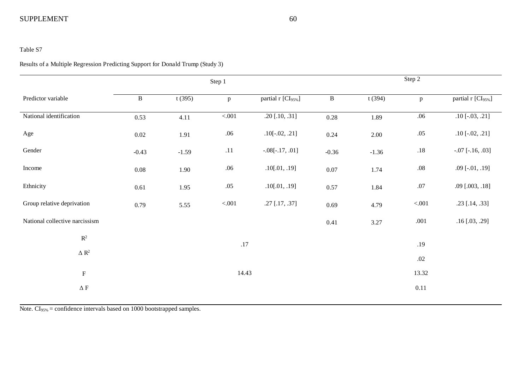#### Table S7

#### Results of a Multiple Regression Predicting Support for Donald Trump (Study 3)

|                                |              |         | Step 1       |                                |              |         | Step 2  |                                |
|--------------------------------|--------------|---------|--------------|--------------------------------|--------------|---------|---------|--------------------------------|
| Predictor variable             | $\, {\bf B}$ | t(395)  | $\mathbf{p}$ | partial r [CI <sub>95%</sub> ] | $\, {\bf B}$ | t(394)  | p       | partial r [CI <sub>95%</sub> ] |
| National identification        | 0.53         | 4.11    | $< 001$      | $.20$ [.10, .31]               | 0.28         | 1.89    | .06     | $.10$ [ $-.03, .21$ ]          |
| Age                            | 0.02         | 1.91    | .06          | $.10[-.02, .21]$               | 0.24         | 2.00    | .05     | $.10$ [ $-.02, .21$ ]          |
| Gender                         | $-0.43$      | $-1.59$ | .11          | $-.08[-.17, .01]$              | $-0.36$      | $-1.36$ | $.18\,$ | $-.07$ [ $-.16, .03$ ]         |
| Income                         | $0.08\,$     | 1.90    | .06          | .10[.01, .19]                  | $0.07\,$     | 1.74    | $.08\,$ | $.09$ [ $-.01, .19$ ]          |
| Ethnicity                      | 0.61         | 1.95    | .05          | .10[.01, .19]                  | 0.57         | 1.84    | $.07\,$ | $.09$ [ $.003, .18$ ]          |
| Group relative deprivation     | 0.79         | 5.55    | $< 001$      | .27 [.17, .37]                 | 0.69         | 4.79    | $< 001$ | $.23$ [.14, .33]               |
| National collective narcissism |              |         |              |                                | 0.41         | 3.27    | .001    | $.16$ [.03, .29]               |
| $\mathbb{R}^2$                 |              |         | $.17$        |                                |              |         | .19     |                                |
| $\Delta$ $\mathbb{R}^2$        |              |         |              |                                |              |         |         |                                |
|                                |              |         |              |                                |              |         | $.02\,$ |                                |
| $\mathbf F$                    |              |         | 14.43        |                                |              |         | 13.32   |                                |
| $\Delta$ F                     |              |         |              |                                |              |         | 0.11    |                                |
|                                |              |         |              |                                |              |         |         |                                |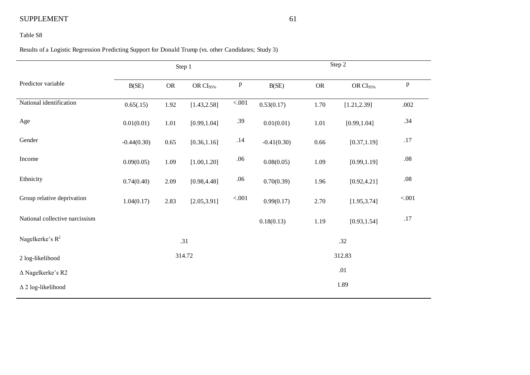#### Table S8

Results of a Logistic Regression Predicting Support for Donald Trump (vs. other Candidates; Study 3)

|                                | Step 1        |            |                      |              |               |           | Step 2               |              |
|--------------------------------|---------------|------------|----------------------|--------------|---------------|-----------|----------------------|--------------|
| Predictor variable             | B(SE)         | ${\sf OR}$ | OR CI <sub>95%</sub> | $\, {\bf p}$ | B(SE)         | <b>OR</b> | OR CI <sub>95%</sub> | $\, {\bf p}$ |
| National identification        | 0.65(.15)     | 1.92       | [1.43, 2.58]         | $<0.01$      | 0.53(0.17)    | 1.70      | [1.21, 2.39]         | .002         |
| Age                            | 0.01(0.01)    | 1.01       | [0.99, 1.04]         | .39          | 0.01(0.01)    | 1.01      | [0.99, 1.04]         | .34          |
| Gender                         | $-0.44(0.30)$ | 0.65       | [0.36, 1.16]         | .14          | $-0.41(0.30)$ | 0.66      | [0.37, 1.19]         | .17          |
| Income                         | 0.09(0.05)    | 1.09       | [1.00, 1.20]         | $.06\,$      | 0.08(0.05)    | 1.09      | [0.99, 1.19]         | $.08\,$      |
| Ethnicity                      | 0.74(0.40)    | 2.09       | [0.98, 4.48]         | $.06\,$      | 0.70(0.39)    | 1.96      | [0.92, 4.21]         | $.08\,$      |
| Group relative deprivation     | 1.04(0.17)    | 2.83       | [2.05, 3.91]         | $<0.01$      | 0.99(0.17)    | 2.70      | [1.95, 3.74]         | $< 001$      |
| National collective narcissism |               |            |                      |              | 0.18(0.13)    | 1.19      | [0.93, 1.54]         | .17          |
| Nagelkerke's R <sup>2</sup>    |               |            | .31                  |              |               |           | .32                  |              |
| 2 log-likelihood               |               |            | 314.72               |              |               |           | 312.83               |              |
| $\Delta$ Nagelkerke's R2       |               |            |                      |              |               |           | .01                  |              |
| $\Delta$ 2 log-likelihood      |               |            |                      |              |               |           | 1.89                 |              |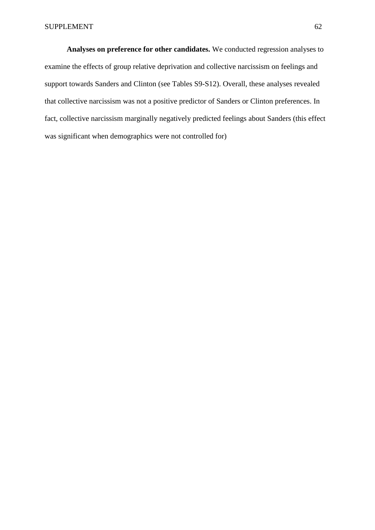**Analyses on preference for other candidates.** We conducted regression analyses to examine the effects of group relative deprivation and collective narcissism on feelings and support towards Sanders and Clinton (see Tables S9-S12). Overall, these analyses revealed that collective narcissism was not a positive predictor of Sanders or Clinton preferences. In fact, collective narcissism marginally negatively predicted feelings about Sanders (this effect was significant when demographics were not controlled for)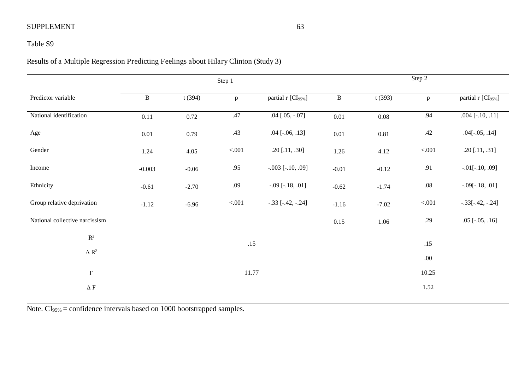## Table S9

Results of a Multiple Regression Predicting Feelings about Hilary Clinton (Study 3)

|                                |              |         | Step 1       |                                | Step 2       |          |              |                                |  |
|--------------------------------|--------------|---------|--------------|--------------------------------|--------------|----------|--------------|--------------------------------|--|
| Predictor variable             | $\, {\bf B}$ | t(394)  | $\, {\bf p}$ | partial r [CI <sub>95%</sub> ] | $\, {\bf B}$ | t(393)   | $\mathbf{p}$ | partial r [CI <sub>95%</sub> ] |  |
| National identification        | 0.11         | 0.72    | .47          | $.04$ [.05, $-.07$ ]           | $0.01\,$     | $0.08\,$ | .94          | $.004$ [ $-.10, .11$ ]         |  |
| Age                            | $0.01\,$     | 0.79    | .43          | $.04$ [ $-.06, .13$ ]          | 0.01         | 0.81     | .42          | $.04[-.05, .14]$               |  |
| Gender                         | 1.24         | 4.05    | $< 001$      | $.20$ [.11, .30]               | 1.26         | 4.12     | $< 001$      | $.20$ [.11, .31]               |  |
| Income                         | $-0.003$     | $-0.06$ | .95          | $-.003$ [ $-.10, .09$ ]        | $-0.01$      | $-0.12$  | .91          | $-.01[-.10, .09]$              |  |
| Ethnicity                      | $-0.61$      | $-2.70$ | .09          | $-.09$ [ $-.18, .01$ ]         | $-0.62$      | $-1.74$  | $.08\,$      | $-.09[-.18, .01]$              |  |
| Group relative deprivation     | $-1.12$      | $-6.96$ | < 0.001      | $-.33$ [ $-.42, -.24$ ]        | $-1.16$      | $-7.02$  | < .001       | $-.33[-.42, -.24]$             |  |
| National collective narcissism |              |         |              |                                | 0.15         | 1.06     | .29          | $.05$ [ $-.05, .16$ ]          |  |
| $\mathbb{R}^2$                 |              |         | .15          |                                |              |          | .15          |                                |  |
| $\Delta$ $\mathbb{R}^2$        |              |         |              |                                |              |          | .00.         |                                |  |
| $\mathbf F$                    |              |         | 11.77        |                                |              |          | 10.25        |                                |  |
| $\Delta$ F                     |              |         |              |                                |              |          | 1.52         |                                |  |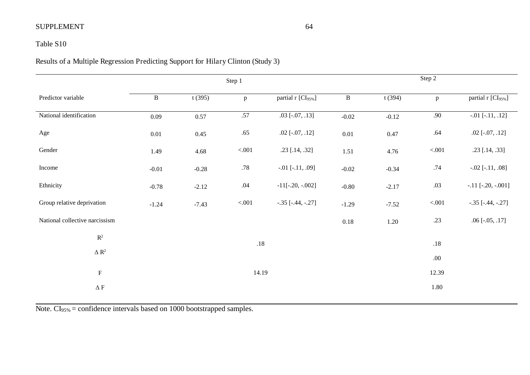## Table S10

# Results of a Multiple Regression Predicting Support for Hilary Clinton (Study 3)

|                                |              |         | Step 1       |                                |              |         | Step 2       |                                |
|--------------------------------|--------------|---------|--------------|--------------------------------|--------------|---------|--------------|--------------------------------|
| Predictor variable             | $\, {\bf B}$ | t(395)  | $\mathbf{p}$ | partial r [CI <sub>95%</sub> ] | $\, {\bf B}$ | t(394)  | $\mathbf{p}$ | partial r [CI <sub>95%</sub> ] |
| National identification        | 0.09         | 0.57    | $.57\,$      | $.03$ [ $-.07, .13$ ]          | $-0.02$      | $-0.12$ | .90          | $-.01$ [ $-.11, .12$ ]         |
| Age                            | $0.01\,$     | 0.45    | .65          | $.02$ [ $-.07, .12$ ]          | $0.01\,$     | 0.47    | .64          | $.02$ [ $-.07, .12$ ]          |
| Gender                         | 1.49         | 4.68    | $<0.01$      | .23 [.14, .32]                 | 1.51         | 4.76    | $< 001$      | $.23$ [ $.14, .33$ ]           |
| Income                         | $-0.01$      | $-0.28$ | .78          | $-.01$ [ $-.11, .09$ ]         | $-0.02$      | $-0.34$ | .74          | $-.02$ [ $-.11, .08$ ]         |
| Ethnicity                      | $-0.78$      | $-2.12$ | .04          | $-11[-.20, -.002]$             | $-0.80$      | $-2.17$ | .03          | $-.11$ [ $-.20, -.001$ ]       |
| Group relative deprivation     | $-1.24$      | $-7.43$ | < 0.001      | $-.35$ [ $-.44, -.27$ ]        | $-1.29$      | $-7.52$ | $< 001$      | $-.35$ [ $-.44, -.27$ ]        |
| National collective narcissism |              |         |              |                                | $0.18\,$     | 1.20    | .23          | $.06$ [ $-.05, .17$ ]          |
| $\mathbb{R}^2$                 |              |         | $.18\,$      |                                |              |         | $.18\,$      |                                |
| $\Delta$ $\mathbb{R}^2$        |              |         |              |                                |              |         | .00.         |                                |
| $\mathbf F$                    |              |         | 14.19        |                                |              |         | 12.39        |                                |
| $\Delta$ F                     |              |         |              |                                |              |         | 1.80         |                                |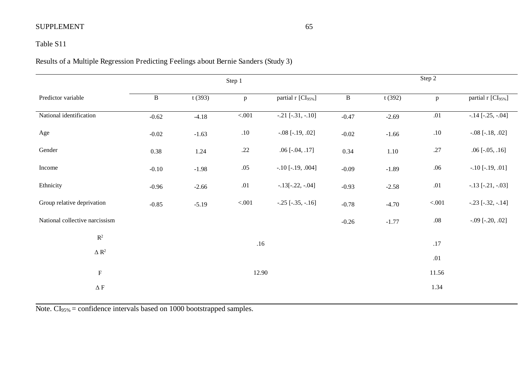## Table S11

# Results of a Multiple Regression Predicting Feelings about Bernie Sanders (Study 3)

|                                | Step 1       |         |              |                                | Step 2       |         |              |                                |
|--------------------------------|--------------|---------|--------------|--------------------------------|--------------|---------|--------------|--------------------------------|
| Predictor variable             | $\, {\bf B}$ | t(393)  | $\mathbf{p}$ | partial r [CI <sub>95%</sub> ] | $\, {\bf B}$ | t(392)  | $\mathbf{p}$ | partial r [CI <sub>95%</sub> ] |
| National identification        | $-0.62$      | $-4.18$ | $< 001$      | $-.21$ [ $-.31, -.10$ ]        | $-0.47$      | $-2.69$ | $.01\,$      | $-.14$ [ $-.25, -.04$ ]        |
| Age                            | $-0.02$      | $-1.63$ | $.10\,$      | $-.08$ [ $-.19, .02$ ]         | $-0.02$      | $-1.66$ | .10          | $-.08$ [ $-.18, .02$ ]         |
| Gender                         | 0.38         | 1.24    | .22          | $.06$ [ $-.04, .17$ ]          | 0.34         | 1.10    | .27          | $.06$ [ $-.05, .16$ ]          |
| Income                         | $-0.10$      | $-1.98$ | $.05$        | $-.10$ [ $-.19, .004$ ]        | $-0.09$      | $-1.89$ | .06          | $-.10$ [ $-.19, .01$ ]         |
| Ethnicity                      | $-0.96$      | $-2.66$ | .01          | $-.13[-.22, -.04]$             | $-0.93$      | $-2.58$ | .01          | $-.13$ [ $-.21, -.03$ ]        |
| Group relative deprivation     | $-0.85$      | $-5.19$ | < 0.001      | $-.25$ $[-.35, -.16]$          | $-0.78$      | $-4.70$ | $< 001$      | $-.23$ $[-.32, -.14]$          |
| National collective narcissism |              |         |              |                                | $-0.26$      | $-1.77$ | $.08\,$      | $-.09$ [ $-.20, .02$ ]         |
| $\mathbb{R}^2$                 |              |         | .16          |                                |              |         | .17          |                                |
| $\Delta$ $\mathbb{R}^2$        |              |         |              |                                |              |         | .01          |                                |
|                                |              |         | 12.90        |                                |              |         | 11.56        |                                |
| $\mathbf F$                    |              |         |              |                                |              |         |              |                                |
| $\Delta$ F                     |              |         |              |                                |              |         | 1.34         |                                |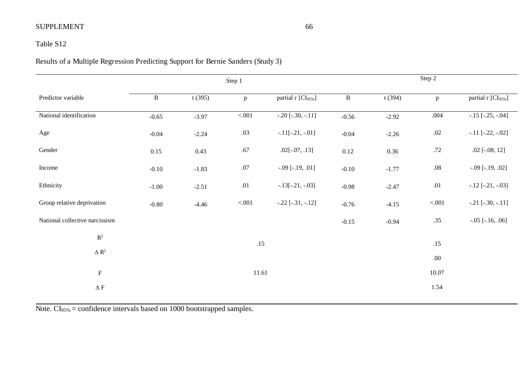## Table S12

Results of a Multiple Regression Predicting Support for Bernie Sanders (Study 3)

|                                | Step 1       |         |              |                                | Step 2       |         |              |                                |  |
|--------------------------------|--------------|---------|--------------|--------------------------------|--------------|---------|--------------|--------------------------------|--|
| Predictor variable             | $\, {\bf B}$ | t(395)  | $\, {\bf p}$ | partial r [CI <sub>95%</sub> ] | $\, {\bf B}$ | t(394)  | $\mathbf{p}$ | partial r [CI <sub>95%</sub> ] |  |
| National identification        | $-0.65$      | $-3.97$ | $< 001$      | $-.20[-.30, -.11]$             | $-0.56$      | $-2.92$ | .004         | $-.15$ [ $-.25, -.04$ ]        |  |
| Age                            | $-0.04$      | $-2.24$ | .03          | $-.11[-.21, -.01]$             | $-0.04$      | $-2.26$ | $.02\,$      | $-.11$ $[-.22, -.02]$          |  |
| Gender                         | 0.15         | 0.43    | .67          | $.02[-.07, .13]$               | 0.12         | 0.36    | $.72\,$      | $.02$ [ $-.08, 12$ ]           |  |
| Income                         | $-0.10$      | $-1.83$ | .07          | $-.09$ [ $-.19, .01$ ]         | $-0.10$      | $-1.77$ | $.08\,$      | $-.09$ [ $-.19, .02$ ]         |  |
| Ethnicity                      | $-1.00$      | $-2.51$ | .01          | $-.13[-.21, -.03]$             | $-0.98$      | $-2.47$ | $.01\,$      | $-.12$ [ $-.21, -.03$ ]        |  |
| Group relative deprivation     | $-0.80$      | $-4.46$ | $< 001$      | $-.22$ $[-.31, -.12]$          | $-0.76$      | $-4.15$ | < 0.001      | $-.21$ [ $-.30, -.11$ ]        |  |
| National collective narcissism |              |         |              |                                | $-0.15$      | $-0.94$ | .35          | $-.05$ [ $-.16, .06$ ]         |  |
| $\mathbf{R}^2$                 |              |         | .15          |                                |              |         | .15          |                                |  |
| $\Delta$ $\mathbb{R}^2$        |              |         |              |                                |              |         | .00.         |                                |  |
| $\mathbf F$                    | 11.61        |         |              |                                |              | 10.07   |              |                                |  |
| $\Delta$ F                     |              |         |              |                                |              |         | 1.54         |                                |  |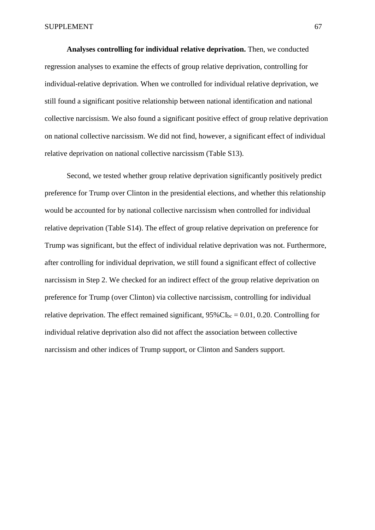**Analyses controlling for individual relative deprivation.** Then, we conducted regression analyses to examine the effects of group relative deprivation, controlling for individual-relative deprivation. When we controlled for individual relative deprivation, we still found a significant positive relationship between national identification and national collective narcissism. We also found a significant positive effect of group relative deprivation on national collective narcissism. We did not find, however, a significant effect of individual relative deprivation on national collective narcissism (Table S13).

Second, we tested whether group relative deprivation significantly positively predict preference for Trump over Clinton in the presidential elections, and whether this relationship would be accounted for by national collective narcissism when controlled for individual relative deprivation (Table S14). The effect of group relative deprivation on preference for Trump was significant, but the effect of individual relative deprivation was not. Furthermore, after controlling for individual deprivation, we still found a significant effect of collective narcissism in Step 2. We checked for an indirect effect of the group relative deprivation on preference for Trump (over Clinton) via collective narcissism, controlling for individual relative deprivation. The effect remained significant,  $95\%CI_{bc} = 0.01$ , 0.20. Controlling for individual relative deprivation also did not affect the association between collective narcissism and other indices of Trump support, or Clinton and Sanders support.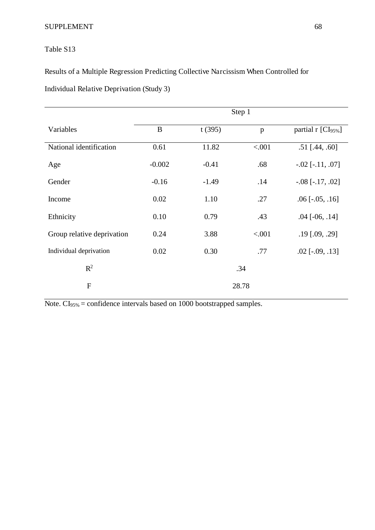## Table S13

Results of a Multiple Regression Predicting Collective Narcissism When Controlled for

Individual Relative Deprivation (Study 3)

|                            | Step 1   |         |        |                                |  |  |  |
|----------------------------|----------|---------|--------|--------------------------------|--|--|--|
| Variables                  | $\bf{B}$ | t(395)  | p      | partial r [CI <sub>95%</sub> ] |  |  |  |
| National identification    | 0.61     | 11.82   | < .001 | $.51$ [.44, .60]               |  |  |  |
| Age                        | $-0.002$ | $-0.41$ | .68    | $-.02$ [ $-.11, .07$ ]         |  |  |  |
| Gender                     | $-0.16$  | $-1.49$ | .14    | $-.08$ [ $-.17, .02$ ]         |  |  |  |
| Income                     | 0.02     | 1.10    | .27    | $.06$ [ $-.05, .16$ ]          |  |  |  |
| Ethnicity                  | 0.10     | 0.79    | .43    | $.04$ [ $-06, .14$ ]           |  |  |  |
| Group relative deprivation | 0.24     | 3.88    | < .001 | $.19$ [.09, .29]               |  |  |  |
| Individual deprivation     | 0.02     | 0.30    | .77    | $.02$ [ $-.09, .13$ ]          |  |  |  |
| $R^2$                      |          |         | .34    |                                |  |  |  |
| $\mathbf{F}$               |          |         | 28.78  |                                |  |  |  |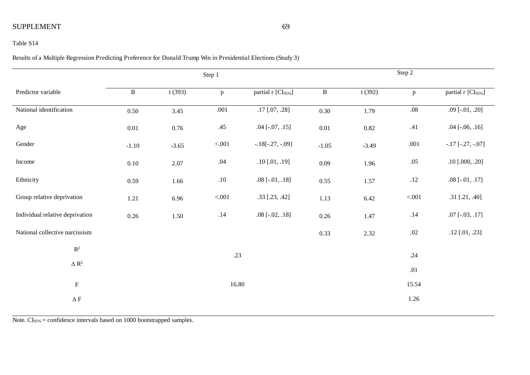#### Table S14

Results of a Multiple Regression Predicting Preference for Donald Trump Win in Presidential Elections (Study 3)

|                                 |              |          | Step 1       |                       | Step 2       |          |              |                                |  |
|---------------------------------|--------------|----------|--------------|-----------------------|--------------|----------|--------------|--------------------------------|--|
| Predictor variable              | $\, {\bf B}$ | t(393)   | $\mathbf{p}$ | partial r [CI95%]     | $\, {\bf B}$ | t(392)   | $\mathbf{p}$ | partial r [CI <sub>95%</sub> ] |  |
| National identification         | 0.50         | 3.45     | .001         | $.17$ [.07, .28]      | 0.30         | 1.79     | $.08\,$      | $.09$ [ $-.01, .20$ ]          |  |
| Age                             | 0.01         | $0.76\,$ | .45          | $.04$ [ $-.07, .15$ ] | $0.01\,$     | $0.82\,$ | .41          | $.04$ [ $-.06, .16$ ]          |  |
| Gender                          | $-1.10$      | $-3.65$  | < 0.01       | $-.18[-.27, -.09]$    | $-1.05$      | $-3.49$  | .001         | $-.17$ [ $-.27, -.07$ ]        |  |
| Income                          | $0.10\,$     | 2.07     | .04          | $.10$ [.01, .19]      | 0.09         | 1.96     | $.05$        | $.10$ [.000, .20]              |  |
| Ethnicity                       | 0.59         | 1.66     | $.10\,$      | $.08$ [-.01, .18]     | 0.55         | 1.57     | $.12\,$      | $.08$ [ $-.01, .17$ ]          |  |
| Group relative deprivation      | 1.21         | 6.96     | $< 001$      | .33 [.23, .42]        | 1.13         | 6.42     | $< 001$      | .31 [.21, .40]                 |  |
| Individual relative deprivation | $0.26\,$     | 1.50     | $.14$        | $.08$ [ $-.02, .18$ ] | $0.26\,$     | 1.47     | $.14\,$      | $.07$ [ $-.03, .17$ ]          |  |
| National collective narcissism  |              |          |              |                       | 0.33         | 2.32     | $.02\,$      | $.12$ [.01, .23]               |  |
| $\mathbb{R}^2$                  |              |          | .23          |                       |              |          | .24          |                                |  |
| $\Delta$ $\mathbb{R}^2$         |              |          |              |                       |              |          |              |                                |  |
|                                 |              |          |              |                       |              |          | .01          |                                |  |
| ${\bf F}$                       |              | 16.80    |              |                       |              | 15.54    |              |                                |  |
| $\Delta$ F                      |              |          |              |                       |              |          | 1.26         |                                |  |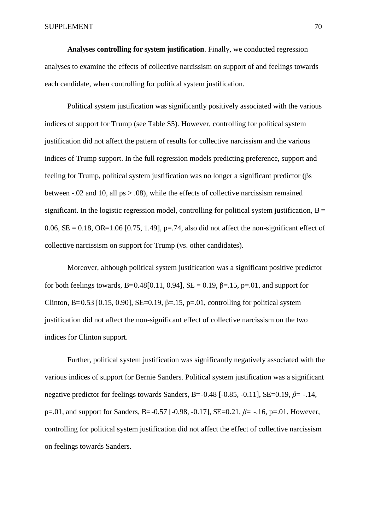**Analyses controlling for system justification**. Finally, we conducted regression analyses to examine the effects of collective narcissism on support of and feelings towards each candidate, when controlling for political system justification.

Political system justification was significantly positively associated with the various indices of support for Trump (see Table S5). However, controlling for political system justification did not affect the pattern of results for collective narcissism and the various indices of Trump support. In the full regression models predicting preference, support and feeling for Trump, political system justification was no longer a significant predictor ( $\beta$ s between -.02 and 10, all ps > .08), while the effects of collective narcissism remained significant. In the logistic regression model, controlling for political system justification,  $B =$ 0.06,  $SE = 0.18$ ,  $OR = 1.06$  [0.75, 1.49], p=.74, also did not affect the non-significant effect of collective narcissism on support for Trump (vs. other candidates).

Moreover, although political system justification was a significant positive predictor for both feelings towards, B=0.48[0.11, 0.94], SE = 0.19,  $\beta$ =.15, p=.01, and support for Clinton, B=0.53 [0.15, 0.90], SE=0.19,  $\beta$ =.15, p=.01, controlling for political system justification did not affect the non-significant effect of collective narcissism on the two indices for Clinton support.

Further, political system justification was significantly negatively associated with the various indices of support for Bernie Sanders. Political system justification was a significant negative predictor for feelings towards Sanders, B=-0.48  $[-0.85, -0.11]$ , SE=0.19,  $\beta$ = -.14, p=.01, and support for Sanders, B= $-0.57$  [ $-0.98$ ,  $-0.17$ ], SE= $0.21$ ,  $\beta$ = $-1.16$ , p=.01. However, controlling for political system justification did not affect the effect of collective narcissism on feelings towards Sanders.